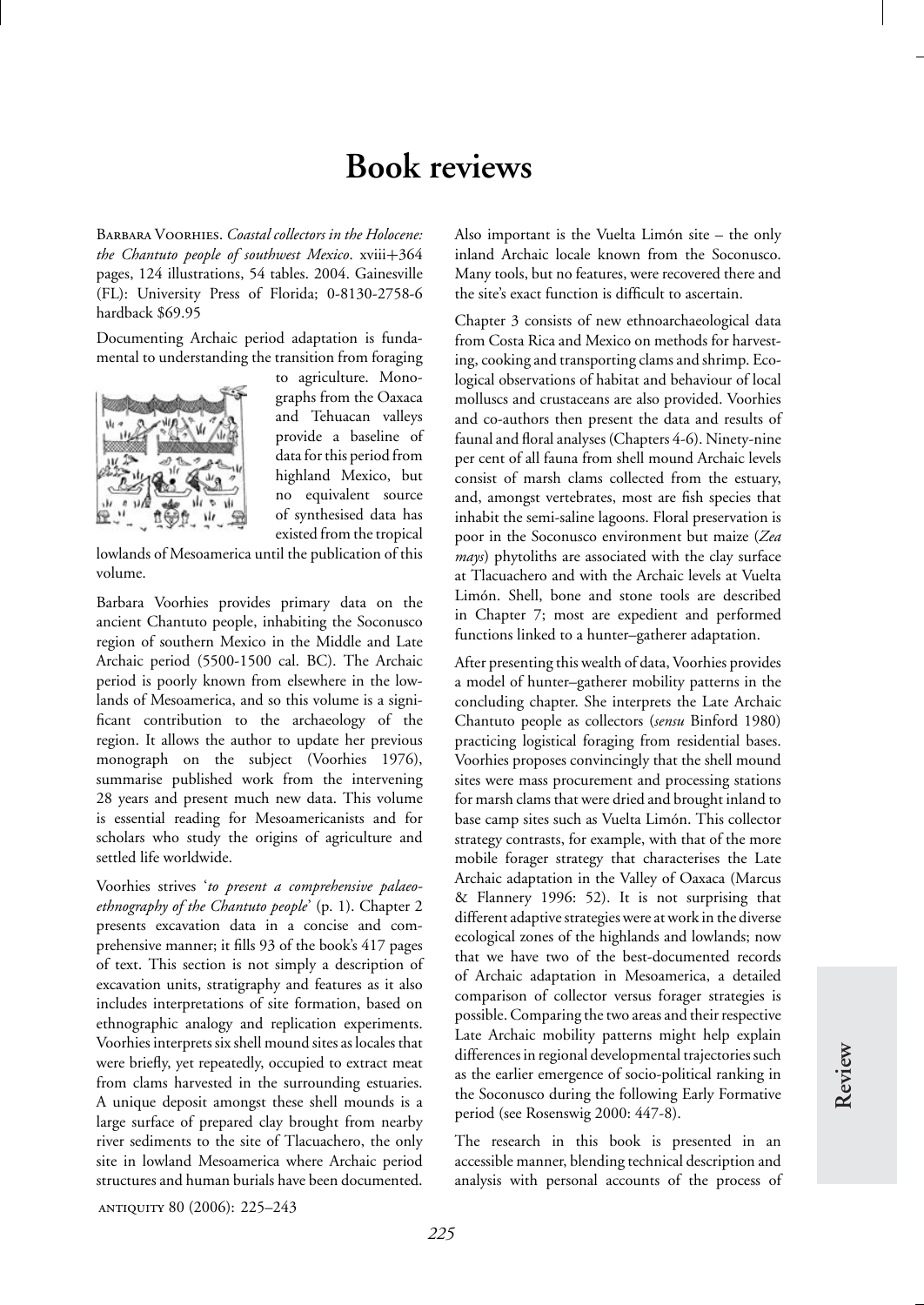# **Book reviews**

BARBARA VOORHIES. *Coastal collectors in the Holocene: the Chantuto people of southwest Mexico*. xviii+364 pages, 124 illustrations, 54 tables. 2004. Gainesville (FL): University Press of Florida; 0-8130-2758-6 hardback \$69.95

Documenting Archaic period adaptation is fundamental to understanding the transition from foraging



to agriculture. Monographs from the Oaxaca and Tehuacan valleys provide a baseline of data for this period from highland Mexico, but no equivalent source of synthesised data has existed from the tropical

lowlands of Mesoamerica until the publication of this volume.

Barbara Voorhies provides primary data on the ancient Chantuto people, inhabiting the Soconusco region of southern Mexico in the Middle and Late Archaic period (5500-1500 cal. BC). The Archaic period is poorly known from elsewhere in the lowlands of Mesoamerica, and so this volume is a significant contribution to the archaeology of the region. It allows the author to update her previous monograph on the subject (Voorhies 1976), summarise published work from the intervening 28 years and present much new data. This volume is essential reading for Mesoamericanists and for scholars who study the origins of agriculture and settled life worldwide.

Voorhies strives '*to present a comprehensive palaeoethnography of the Chantuto people*' (p. 1). Chapter 2 presents excavation data in a concise and comprehensive manner; it fills 93 of the book's 417 pages of text. This section is not simply a description of excavation units, stratigraphy and features as it also includes interpretations of site formation, based on ethnographic analogy and replication experiments. Voorhies interprets six shell mound sites as locales that were briefly, yet repeatedly, occupied to extract meat from clams harvested in the surrounding estuaries. A unique deposit amongst these shell mounds is a large surface of prepared clay brought from nearby river sediments to the site of Tlacuachero, the only site in lowland Mesoamerica where Archaic period structures and human burials have been documented.

Also important is the Vuelta Limón site  $-$  the only inland Archaic locale known from the Soconusco. Many tools, but no features, were recovered there and the site's exact function is difficult to ascertain.

Chapter 3 consists of new ethnoarchaeological data from Costa Rica and Mexico on methods for harvesting, cooking and transporting clams and shrimp. Ecological observations of habitat and behaviour of local molluscs and crustaceans are also provided. Voorhies and co-authors then present the data and results of faunal and floral analyses (Chapters 4-6). Ninety-nine per cent of all fauna from shell mound Archaic levels consist of marsh clams collected from the estuary, and, amongst vertebrates, most are fish species that inhabit the semi-saline lagoons. Floral preservation is poor in the Soconusco environment but maize (*Zea mays*) phytoliths are associated with the clay surface at Tlacuachero and with the Archaic levels at Vuelta Limón. Shell, bone and stone tools are described in Chapter 7; most are expedient and performed functions linked to a hunter–gatherer adaptation.

After presenting this wealth of data, Voorhies provides a model of hunter–gatherer mobility patterns in the concluding chapter. She interprets the Late Archaic Chantuto people as collectors (*sensu* Binford 1980) practicing logistical foraging from residential bases. Voorhies proposes convincingly that the shell mound sites were mass procurement and processing stations for marsh clams that were dried and brought inland to base camp sites such as Vuelta Limón. This collector strategy contrasts, for example, with that of the more mobile forager strategy that characterises the Late Archaic adaptation in the Valley of Oaxaca (Marcus & Flannery 1996: 52). It is not surprising that different adaptive strategies were at work in the diverse ecological zones of the highlands and lowlands; now that we have two of the best-documented records of Archaic adaptation in Mesoamerica, a detailed comparison of collector versus forager strategies is possible. Comparing the two areas and their respective Late Archaic mobility patterns might help explain differences in regional developmental trajectories such as the earlier emergence of socio-political ranking in the Soconusco during the following Early Formative period (see Rosenswig 2000: 447-8).

The research in this book is presented in an accessible manner, blending technical description and analysis with personal accounts of the process of **Review**

antiquity 80 (2006): 225–243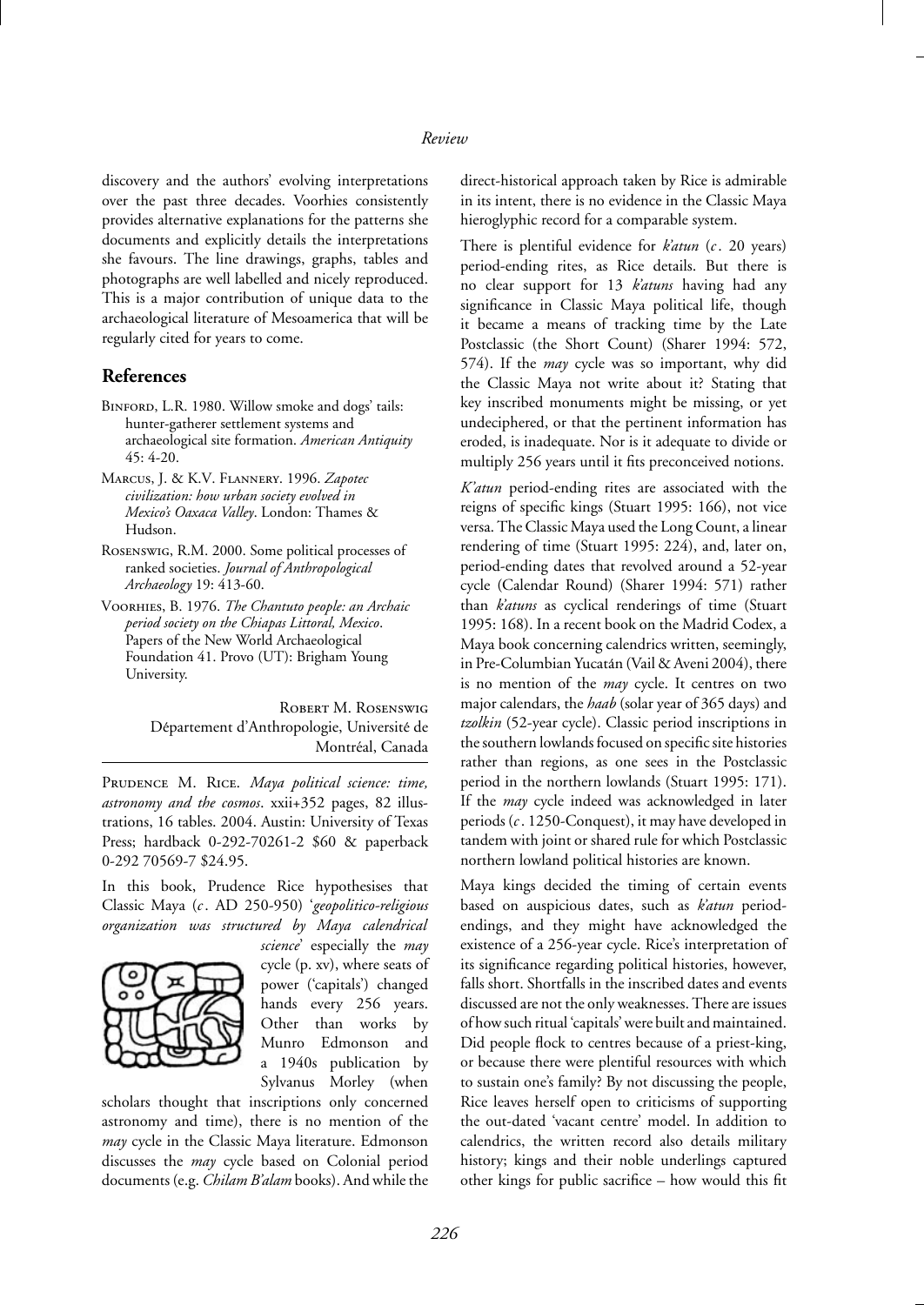discovery and the authors' evolving interpretations over the past three decades. Voorhies consistently provides alternative explanations for the patterns she documents and explicitly details the interpretations she favours. The line drawings, graphs, tables and photographs are well labelled and nicely reproduced. This is a major contribution of unique data to the archaeological literature of Mesoamerica that will be regularly cited for years to come.

## **References**

- BINFORD, L.R. 1980. Willow smoke and dogs' tails: hunter-gatherer settlement systems and archaeological site formation. *American Antiquity* 45: 4-20.
- Marcus, J. & K.V. Flannery. 1996. *Zapotec civilization: how urban society evolved in Mexico's Oaxaca Valley*. London: Thames & Hudson.
- Rosenswig, R.M. 2000. Some political processes of ranked societies. *Journal of Anthropological Archaeology* 19: 413-60.
- Voorhies, B. 1976. *The Chantuto people: an Archaic period society on the Chiapas Littoral, Mexico*. Papers of the New World Archaeological Foundation 41. Provo (UT): Brigham Young University.

Robert M. Rosenswig Département d'Anthropologie, Université de Montréal, Canada

PRUDENCE M. RICE. Maya political science: time, *astronomy and the cosmos*. xxii+352 pages, 82 illustrations, 16 tables. 2004. Austin: University of Texas Press; hardback 0-292-70261-2 \$60 & paperback 0-292 70569-7 \$24.95.

In this book, Prudence Rice hypothesises that Classic Maya (*c*. AD 250-950) '*geopolitico-religious organization was structured by Maya calendrical*



*science*' especially the *may* cycle (p. xv), where seats of power ('capitals') changed hands every 256 years. Other than works by Munro Edmonson and a 1940s publication by Sylvanus Morley (when

scholars thought that inscriptions only concerned astronomy and time), there is no mention of the *may* cycle in the Classic Maya literature. Edmonson discusses the *may* cycle based on Colonial period documents (e.g. *Chilam B'alam* books). And while the direct-historical approach taken by Rice is admirable in its intent, there is no evidence in the Classic Maya hieroglyphic record for a comparable system.

There is plentiful evidence for *k'atun* (*c*. 20 years) period-ending rites, as Rice details. But there is no clear support for 13 *k'atuns* having had any significance in Classic Maya political life, though it became a means of tracking time by the Late Postclassic (the Short Count) (Sharer 1994: 572, 574). If the *may* cycle was so important, why did the Classic Maya not write about it? Stating that key inscribed monuments might be missing, or yet undeciphered, or that the pertinent information has eroded, is inadequate. Nor is it adequate to divide or multiply 256 years until it fits preconceived notions.

*K'atun* period-ending rites are associated with the reigns of specific kings (Stuart 1995: 166), not vice versa. The Classic Maya used the Long Count, a linear rendering of time (Stuart 1995: 224), and, later on, period-ending dates that revolved around a 52-year cycle (Calendar Round) (Sharer 1994: 571) rather than *k'atuns* as cyclical renderings of time (Stuart 1995: 168). In a recent book on the Madrid Codex, a Maya book concerning calendrics written, seemingly, in Pre-Columbian Yucatán (Vail & Aveni 2004), there is no mention of the *may* cycle. It centres on two major calendars, the *haab* (solar year of 365 days) and *tzolkin* (52-year cycle). Classic period inscriptions in the southern lowlands focused on specific site histories rather than regions, as one sees in the Postclassic period in the northern lowlands (Stuart 1995: 171). If the *may* cycle indeed was acknowledged in later periods (*c*. 1250-Conquest), it may have developed in tandem with joint or shared rule for which Postclassic northern lowland political histories are known.

Maya kings decided the timing of certain events based on auspicious dates, such as *k'atun* periodendings, and they might have acknowledged the existence of a 256-year cycle. Rice's interpretation of its significance regarding political histories, however, falls short. Shortfalls in the inscribed dates and events discussed are not the only weaknesses. There are issues of how such ritual 'capitals' were built and maintained. Did people flock to centres because of a priest-king, or because there were plentiful resources with which to sustain one's family? By not discussing the people, Rice leaves herself open to criticisms of supporting the out-dated 'vacant centre' model. In addition to calendrics, the written record also details military history; kings and their noble underlings captured other kings for public sacrifice – how would this fit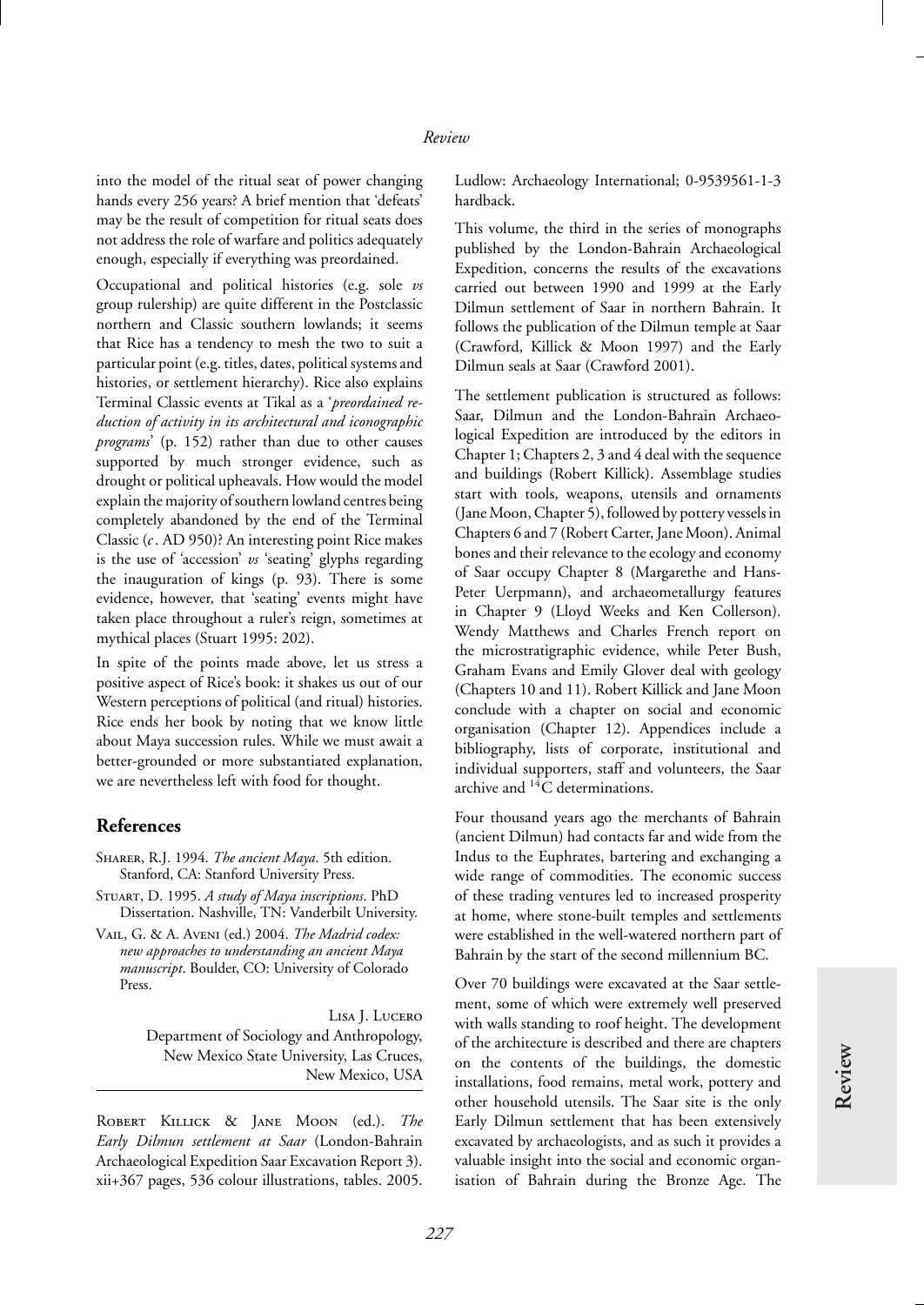into the model of the ritual seat of power changing hands every 256 years? A brief mention that 'defeats' may be the result of competition for ritual seats does not address the role of warfare and politics adequately enough, especially if everything was preordained.

Occupational and political histories (e.g. sole *vs* group rulership) are quite different in the Postclassic northern and Classic southern lowlands; it seems that Rice has a tendency to mesh the two to suit a particular point (e.g. titles, dates, political systems and histories, or settlement hierarchy). Rice also explains Terminal Classic events at Tikal as a '*preordained reduction of activity in its architectural and iconographic programs*' (p. 152) rather than due to other causes supported by much stronger evidence, such as drought or political upheavals. How would the model explain the majority of southern lowland centres being completely abandoned by the end of the Terminal Classic (*c*. AD 950)? An interesting point Rice makes is the use of 'accession' *vs* 'seating' glyphs regarding the inauguration of kings (p. 93). There is some evidence, however, that 'seating' events might have taken place throughout a ruler's reign, sometimes at mythical places (Stuart 1995: 202).

In spite of the points made above, let us stress a positive aspect of Rice's book: it shakes us out of our Western perceptions of political (and ritual) histories. Rice ends her book by noting that we know little about Maya succession rules. While we must await a better-grounded or more substantiated explanation, we are nevertheless left with food for thought.

## **References**

- Sharer, R.J. 1994. *The ancient Maya*. 5th edition. Stanford, CA: Stanford University Press.
- Stuart, D. 1995. *A study of Maya inscriptions*. PhD Dissertation. Nashville, TN: Vanderbilt University.
- Vail, G. & A. Aveni (ed.) 2004. *The Madrid codex: new approaches to understanding an ancient Maya manuscript*. Boulder, CO: University of Colorado Press.

Lisa J. Lucero Department of Sociology and Anthropology, New Mexico State University, Las Cruces, New Mexico, USA

Robert Killick & Jane Moon (ed.). *The Early Dilmun settlement at Saar* (London-Bahrain Archaeological Expedition Saar Excavation Report 3). xii+367 pages, 536 colour illustrations, tables. 2005. Ludlow: Archaeology International; 0-9539561-1-3 hardback.

This volume, the third in the series of monographs published by the London-Bahrain Archaeological Expedition, concerns the results of the excavations carried out between 1990 and 1999 at the Early Dilmun settlement of Saar in northern Bahrain. It follows the publication of the Dilmun temple at Saar (Crawford, Killick & Moon 1997) and the Early Dilmun seals at Saar (Crawford 2001).

The settlement publication is structured as follows: Saar, Dilmun and the London-Bahrain Archaeological Expedition are introduced by the editors in Chapter 1; Chapters 2, 3 and 4 deal with the sequence and buildings (Robert Killick). Assemblage studies start with tools, weapons, utensils and ornaments (Jane Moon, Chapter 5), followed by pottery vessels in Chapters 6 and 7 (Robert Carter, Jane Moon). Animal bones and their relevance to the ecology and economy of Saar occupy Chapter 8 (Margarethe and Hans-Peter Uerpmann), and archaeometallurgy features in Chapter 9 (Lloyd Weeks and Ken Collerson). Wendy Matthews and Charles French report on the microstratigraphic evidence, while Peter Bush, Graham Evans and Emily Glover deal with geology (Chapters 10 and 11). Robert Killick and Jane Moon conclude with a chapter on social and economic organisation (Chapter 12). Appendices include a bibliography, lists of corporate, institutional and individual supporters, staff and volunteers, the Saar archive and <sup>14</sup>C determinations.

Four thousand years ago the merchants of Bahrain (ancient Dilmun) had contacts far and wide from the Indus to the Euphrates, bartering and exchanging a wide range of commodities. The economic success of these trading ventures led to increased prosperity at home, where stone-built temples and settlements were established in the well-watered northern part of Bahrain by the start of the second millennium BC.

Over 70 buildings were excavated at the Saar settlement, some of which were extremely well preserved with walls standing to roof height. The development of the architecture is described and there are chapters on the contents of the buildings, the domestic installations, food remains, metal work, pottery and other household utensils. The Saar site is the only Early Dilmun settlement that has been extensively excavated by archaeologists, and as such it provides a valuable insight into the social and economic organisation of Bahrain during the Bronze Age. The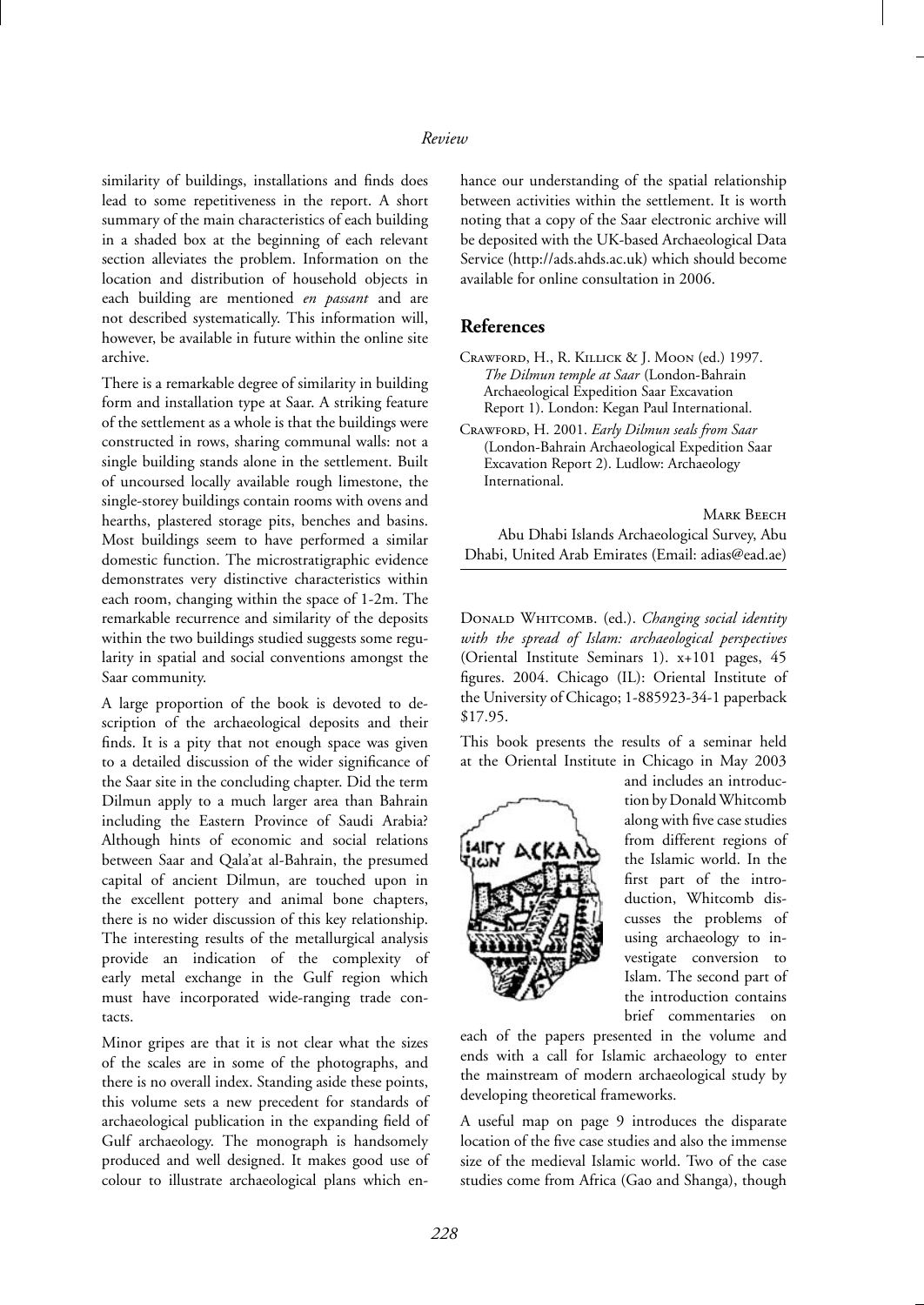similarity of buildings, installations and finds does lead to some repetitiveness in the report. A short summary of the main characteristics of each building in a shaded box at the beginning of each relevant section alleviates the problem. Information on the location and distribution of household objects in each building are mentioned *en passant* and are not described systematically. This information will, however, be available in future within the online site archive.

There is a remarkable degree of similarity in building form and installation type at Saar. A striking feature of the settlement as a whole is that the buildings were constructed in rows, sharing communal walls: not a single building stands alone in the settlement. Built of uncoursed locally available rough limestone, the single-storey buildings contain rooms with ovens and hearths, plastered storage pits, benches and basins. Most buildings seem to have performed a similar domestic function. The microstratigraphic evidence demonstrates very distinctive characteristics within each room, changing within the space of 1-2m. The remarkable recurrence and similarity of the deposits within the two buildings studied suggests some regularity in spatial and social conventions amongst the Saar community.

A large proportion of the book is devoted to description of the archaeological deposits and their finds. It is a pity that not enough space was given to a detailed discussion of the wider significance of the Saar site in the concluding chapter. Did the term Dilmun apply to a much larger area than Bahrain including the Eastern Province of Saudi Arabia? Although hints of economic and social relations between Saar and Qala'at al-Bahrain, the presumed capital of ancient Dilmun, are touched upon in the excellent pottery and animal bone chapters, there is no wider discussion of this key relationship. The interesting results of the metallurgical analysis provide an indication of the complexity of early metal exchange in the Gulf region which must have incorporated wide-ranging trade contacts.

Minor gripes are that it is not clear what the sizes of the scales are in some of the photographs, and there is no overall index. Standing aside these points, this volume sets a new precedent for standards of archaeological publication in the expanding field of Gulf archaeology. The monograph is handsomely produced and well designed. It makes good use of colour to illustrate archaeological plans which enhance our understanding of the spatial relationship between activities within the settlement. It is worth noting that a copy of the Saar electronic archive will be deposited with the UK-based Archaeological Data Service (http://ads.ahds.ac.uk) which should become available for online consultation in 2006.

# **References**

- Crawford, H., R. Killick & J. Moon (ed.) 1997. *The Dilmun temple at Saar* (London-Bahrain Archaeological Expedition Saar Excavation Report 1). London: Kegan Paul International.
- Crawford, H. 2001. *Early Dilmun seals from Saar* (London-Bahrain Archaeological Expedition Saar Excavation Report 2). Ludlow: Archaeology International.

MARK BEECH Abu Dhabi Islands Archaeological Survey, Abu Dhabi, United Arab Emirates (Email: adias@ead.ae)

Donald Whitcomb. (ed.). *Changing social identity with the spread of Islam: archaeological perspectives* (Oriental Institute Seminars 1). x+101 pages, 45 figures. 2004. Chicago (IL): Oriental Institute of the University of Chicago; 1-885923-34-1 paperback \$17.95.

This book presents the results of a seminar held at the Oriental Institute in Chicago in May 2003



and includes an introduction by DonaldWhitcomb along with five case studies from different regions of the Islamic world. In the first part of the introduction, Whitcomb discusses the problems of using archaeology to investigate conversion to Islam. The second part of the introduction contains brief commentaries on

each of the papers presented in the volume and ends with a call for Islamic archaeology to enter the mainstream of modern archaeological study by developing theoretical frameworks.

A useful map on page 9 introduces the disparate location of the five case studies and also the immense size of the medieval Islamic world. Two of the case studies come from Africa (Gao and Shanga), though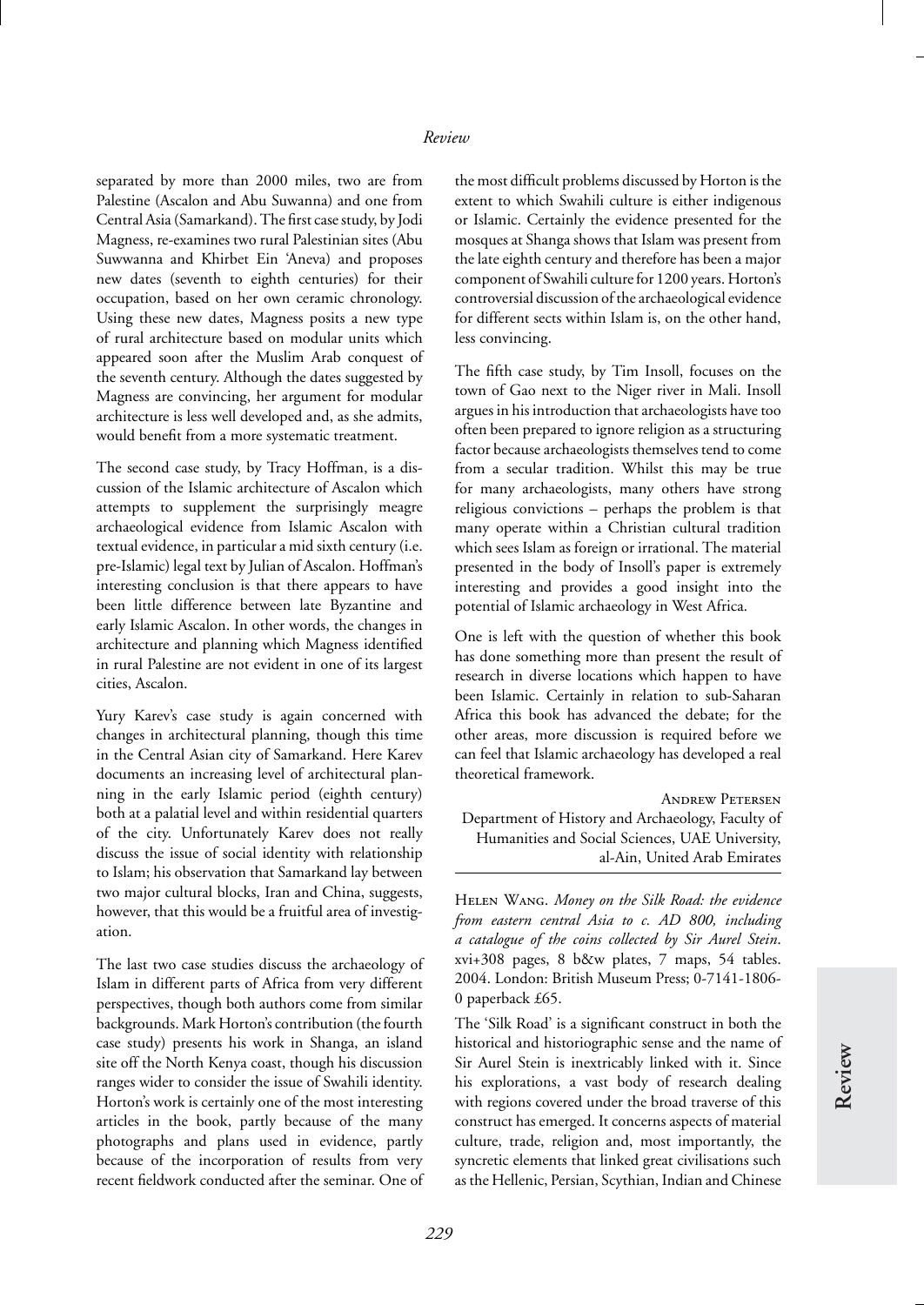separated by more than 2000 miles, two are from Palestine (Ascalon and Abu Suwanna) and one from Central Asia (Samarkand). The first case study, by Jodi Magness, re-examines two rural Palestinian sites (Abu Suwwanna and Khirbet Ein 'Aneva) and proposes new dates (seventh to eighth centuries) for their occupation, based on her own ceramic chronology. Using these new dates, Magness posits a new type of rural architecture based on modular units which appeared soon after the Muslim Arab conquest of the seventh century. Although the dates suggested by Magness are convincing, her argument for modular architecture is less well developed and, as she admits, would benefit from a more systematic treatment.

The second case study, by Tracy Hoffman, is a discussion of the Islamic architecture of Ascalon which attempts to supplement the surprisingly meagre archaeological evidence from Islamic Ascalon with textual evidence, in particular a mid sixth century (i.e. pre-Islamic) legal text by Julian of Ascalon. Hoffman's interesting conclusion is that there appears to have been little difference between late Byzantine and early Islamic Ascalon. In other words, the changes in architecture and planning which Magness identified in rural Palestine are not evident in one of its largest cities, Ascalon.

Yury Karev's case study is again concerned with changes in architectural planning, though this time in the Central Asian city of Samarkand. Here Karev documents an increasing level of architectural planning in the early Islamic period (eighth century) both at a palatial level and within residential quarters of the city. Unfortunately Karev does not really discuss the issue of social identity with relationship to Islam; his observation that Samarkand lay between two major cultural blocks, Iran and China, suggests, however, that this would be a fruitful area of investigation.

The last two case studies discuss the archaeology of Islam in different parts of Africa from very different perspectives, though both authors come from similar backgrounds. Mark Horton's contribution (the fourth case study) presents his work in Shanga, an island site off the North Kenya coast, though his discussion ranges wider to consider the issue of Swahili identity. Horton's work is certainly one of the most interesting articles in the book, partly because of the many photographs and plans used in evidence, partly because of the incorporation of results from very recent fieldwork conducted after the seminar. One of

the most difficult problems discussed by Horton is the extent to which Swahili culture is either indigenous or Islamic. Certainly the evidence presented for the mosques at Shanga shows that Islam was present from the late eighth century and therefore has been a major component of Swahili culture for 1200 years. Horton's controversial discussion of the archaeological evidence for different sects within Islam is, on the other hand, less convincing.

The fifth case study, by Tim Insoll, focuses on the town of Gao next to the Niger river in Mali. Insoll argues in his introduction that archaeologists have too often been prepared to ignore religion as a structuring factor because archaeologists themselves tend to come from a secular tradition. Whilst this may be true for many archaeologists, many others have strong religious convictions – perhaps the problem is that many operate within a Christian cultural tradition which sees Islam as foreign or irrational. The material presented in the body of Insoll's paper is extremely interesting and provides a good insight into the potential of Islamic archaeology in West Africa.

One is left with the question of whether this book has done something more than present the result of research in diverse locations which happen to have been Islamic. Certainly in relation to sub-Saharan Africa this book has advanced the debate; for the other areas, more discussion is required before we can feel that Islamic archaeology has developed a real theoretical framework.

Andrew Petersen Department of History and Archaeology, Faculty of Humanities and Social Sciences, UAE University, al-Ain, United Arab Emirates

Helen Wang. *Money on the Silk Road: the evidence from eastern central Asia to c. AD 800, including a catalogue of the coins collected by Sir Aurel Stein*. xvi+308 pages, 8 b&w plates, 7 maps, 54 tables. 2004. London: British Museum Press; 0-7141-1806- 0 paperback £65.

The 'Silk Road' is a significant construct in both the historical and historiographic sense and the name of Sir Aurel Stein is inextricably linked with it. Since his explorations, a vast body of research dealing with regions covered under the broad traverse of this construct has emerged. It concerns aspects of material culture, trade, religion and, most importantly, the syncretic elements that linked great civilisations such as the Hellenic, Persian, Scythian, Indian and Chinese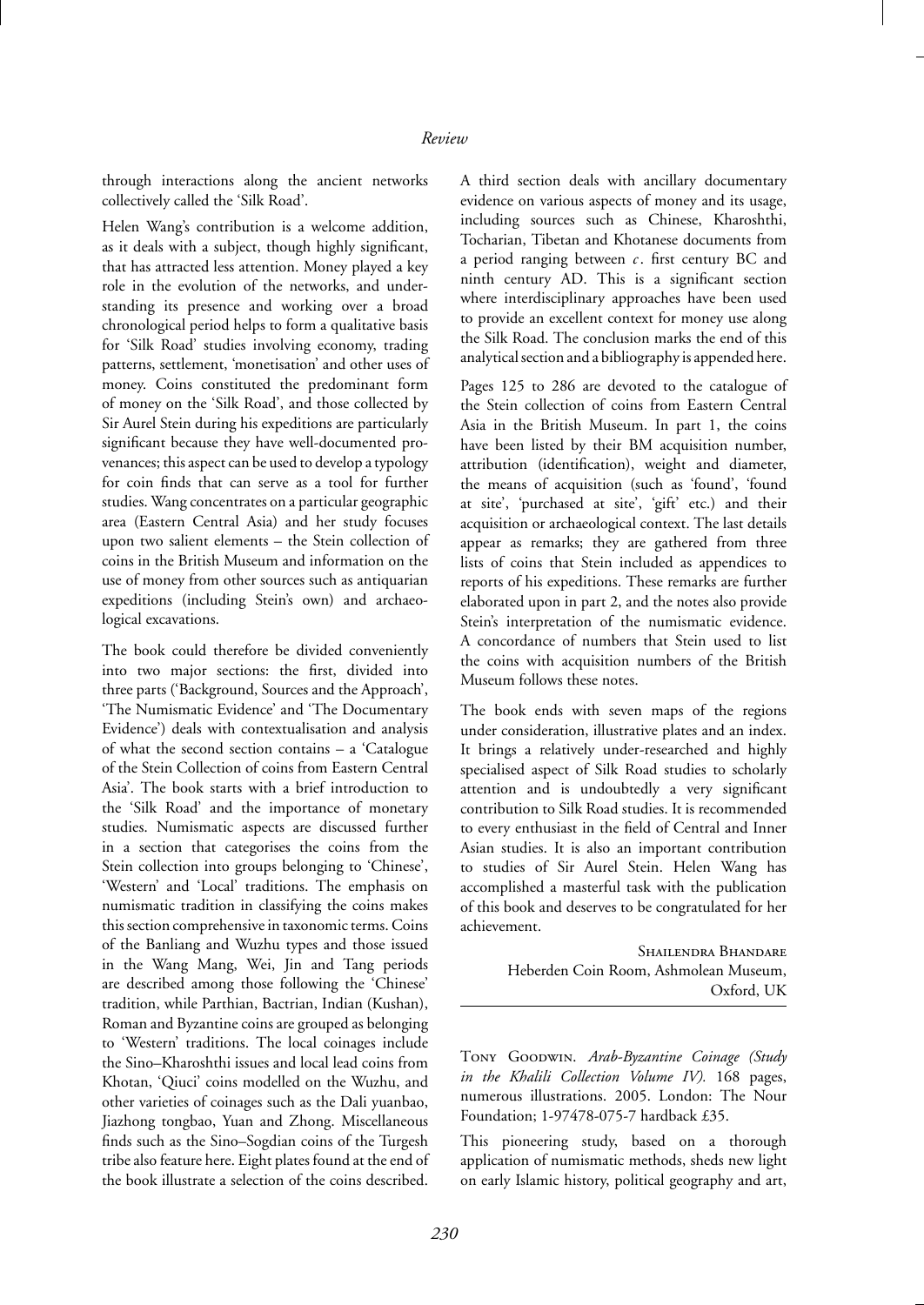through interactions along the ancient networks collectively called the 'Silk Road'.

Helen Wang's contribution is a welcome addition, as it deals with a subject, though highly significant, that has attracted less attention. Money played a key role in the evolution of the networks, and understanding its presence and working over a broad chronological period helps to form a qualitative basis for 'Silk Road' studies involving economy, trading patterns, settlement, 'monetisation' and other uses of money. Coins constituted the predominant form of money on the 'Silk Road', and those collected by Sir Aurel Stein during his expeditions are particularly significant because they have well-documented provenances; this aspect can be used to develop a typology for coin finds that can serve as a tool for further studies. Wang concentrates on a particular geographic area (Eastern Central Asia) and her study focuses upon two salient elements – the Stein collection of coins in the British Museum and information on the use of money from other sources such as antiquarian expeditions (including Stein's own) and archaeological excavations.

The book could therefore be divided conveniently into two major sections: the first, divided into three parts ('Background, Sources and the Approach', 'The Numismatic Evidence' and 'The Documentary Evidence') deals with contextualisation and analysis of what the second section contains – a 'Catalogue of the Stein Collection of coins from Eastern Central Asia'. The book starts with a brief introduction to the 'Silk Road' and the importance of monetary studies. Numismatic aspects are discussed further in a section that categorises the coins from the Stein collection into groups belonging to 'Chinese', 'Western' and 'Local' traditions. The emphasis on numismatic tradition in classifying the coins makes this section comprehensive in taxonomic terms. Coins of the Banliang and Wuzhu types and those issued in the Wang Mang, Wei, Jin and Tang periods are described among those following the 'Chinese' tradition, while Parthian, Bactrian, Indian (Kushan), Roman and Byzantine coins are grouped as belonging to 'Western' traditions. The local coinages include the Sino–Kharoshthi issues and local lead coins from Khotan, 'Qiuci' coins modelled on the Wuzhu, and other varieties of coinages such as the Dali yuanbao, Jiazhong tongbao, Yuan and Zhong. Miscellaneous finds such as the Sino–Sogdian coins of the Turgesh tribe also feature here. Eight plates found at the end of the book illustrate a selection of the coins described.

A third section deals with ancillary documentary evidence on various aspects of money and its usage, including sources such as Chinese, Kharoshthi, Tocharian, Tibetan and Khotanese documents from a period ranging between *c*. first century BC and ninth century AD. This is a significant section where interdisciplinary approaches have been used to provide an excellent context for money use along the Silk Road. The conclusion marks the end of this analytical section and a bibliography is appended here.

Pages 125 to 286 are devoted to the catalogue of the Stein collection of coins from Eastern Central Asia in the British Museum. In part 1, the coins have been listed by their BM acquisition number, attribution (identification), weight and diameter, the means of acquisition (such as 'found', 'found at site', 'purchased at site', 'gift' etc.) and their acquisition or archaeological context. The last details appear as remarks; they are gathered from three lists of coins that Stein included as appendices to reports of his expeditions. These remarks are further elaborated upon in part 2, and the notes also provide Stein's interpretation of the numismatic evidence. A concordance of numbers that Stein used to list the coins with acquisition numbers of the British Museum follows these notes.

The book ends with seven maps of the regions under consideration, illustrative plates and an index. It brings a relatively under-researched and highly specialised aspect of Silk Road studies to scholarly attention and is undoubtedly a very significant contribution to Silk Road studies. It is recommended to every enthusiast in the field of Central and Inner Asian studies. It is also an important contribution to studies of Sir Aurel Stein. Helen Wang has accomplished a masterful task with the publication of this book and deserves to be congratulated for her achievement.

> Shailendra Bhandare Heberden Coin Room, Ashmolean Museum, Oxford, UK

Tony Goodwin. *Arab-Byzantine Coinage (Study in the Khalili Collection Volume IV).* 168 pages, numerous illustrations. 2005. London: The Nour Foundation; 1-97478-075-7 hardback £35.

This pioneering study, based on a thorough application of numismatic methods, sheds new light on early Islamic history, political geography and art,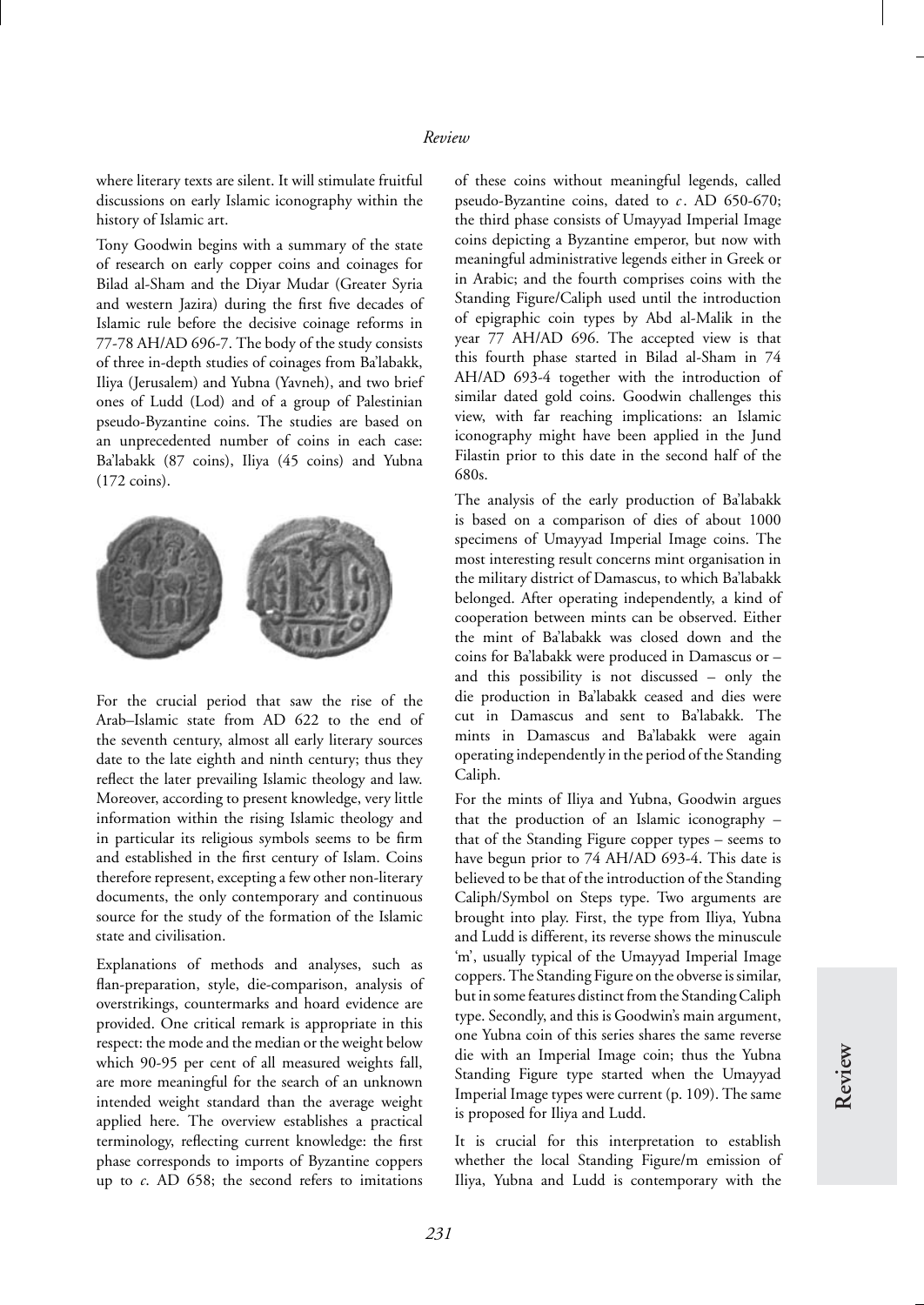where literary texts are silent. It will stimulate fruitful discussions on early Islamic iconography within the history of Islamic art.

Tony Goodwin begins with a summary of the state of research on early copper coins and coinages for Bilad al-Sham and the Diyar Mudar (Greater Syria and western Jazira) during the first five decades of Islamic rule before the decisive coinage reforms in 77-78 AH/AD 696-7. The body of the study consists of three in-depth studies of coinages from Ba'labakk, Iliya (Jerusalem) and Yubna (Yavneh), and two brief ones of Ludd (Lod) and of a group of Palestinian pseudo-Byzantine coins. The studies are based on an unprecedented number of coins in each case: Ba'labakk (87 coins), Iliya (45 coins) and Yubna (172 coins).



For the crucial period that saw the rise of the Arab–Islamic state from AD 622 to the end of the seventh century, almost all early literary sources date to the late eighth and ninth century; thus they reflect the later prevailing Islamic theology and law. Moreover, according to present knowledge, very little information within the rising Islamic theology and in particular its religious symbols seems to be firm and established in the first century of Islam. Coins therefore represent, excepting a few other non-literary documents, the only contemporary and continuous source for the study of the formation of the Islamic state and civilisation.

Explanations of methods and analyses, such as flan-preparation, style, die-comparison, analysis of overstrikings, countermarks and hoard evidence are provided. One critical remark is appropriate in this respect: the mode and the median or the weight below which 90-95 per cent of all measured weights fall, are more meaningful for the search of an unknown intended weight standard than the average weight applied here. The overview establishes a practical terminology, reflecting current knowledge: the first phase corresponds to imports of Byzantine coppers up to *c*. AD 658; the second refers to imitations

of these coins without meaningful legends, called pseudo-Byzantine coins, dated to *c*. AD 650-670; the third phase consists of Umayyad Imperial Image coins depicting a Byzantine emperor, but now with meaningful administrative legends either in Greek or in Arabic; and the fourth comprises coins with the Standing Figure/Caliph used until the introduction of epigraphic coin types by Abd al-Malik in the year 77 AH/AD 696. The accepted view is that this fourth phase started in Bilad al-Sham in 74 AH/AD 693-4 together with the introduction of similar dated gold coins. Goodwin challenges this view, with far reaching implications: an Islamic iconography might have been applied in the Jund Filastin prior to this date in the second half of the 680s.

The analysis of the early production of Ba'labakk is based on a comparison of dies of about 1000 specimens of Umayyad Imperial Image coins. The most interesting result concerns mint organisation in the military district of Damascus, to which Ba'labakk belonged. After operating independently, a kind of cooperation between mints can be observed. Either the mint of Ba'labakk was closed down and the coins for Ba'labakk were produced in Damascus or – and this possibility is not discussed – only the die production in Ba'labakk ceased and dies were cut in Damascus and sent to Ba'labakk. The mints in Damascus and Ba'labakk were again operating independently in the period of the Standing Caliph.

For the mints of Iliya and Yubna, Goodwin argues that the production of an Islamic iconography – that of the Standing Figure copper types – seems to have begun prior to 74 AH/AD 693-4. This date is believed to be that of the introduction of the Standing Caliph/Symbol on Steps type. Two arguments are brought into play. First, the type from Iliya, Yubna and Ludd is different, its reverse shows the minuscule 'm', usually typical of the Umayyad Imperial Image coppers. The Standing Figure on the obverse is similar, but in some features distinct from the Standing Caliph type. Secondly, and this is Goodwin's main argument, one Yubna coin of this series shares the same reverse die with an Imperial Image coin; thus the Yubna Standing Figure type started when the Umayyad Imperial Image types were current (p. 109). The same is proposed for Iliya and Ludd.

It is crucial for this interpretation to establish whether the local Standing Figure/m emission of Iliya, Yubna and Ludd is contemporary with the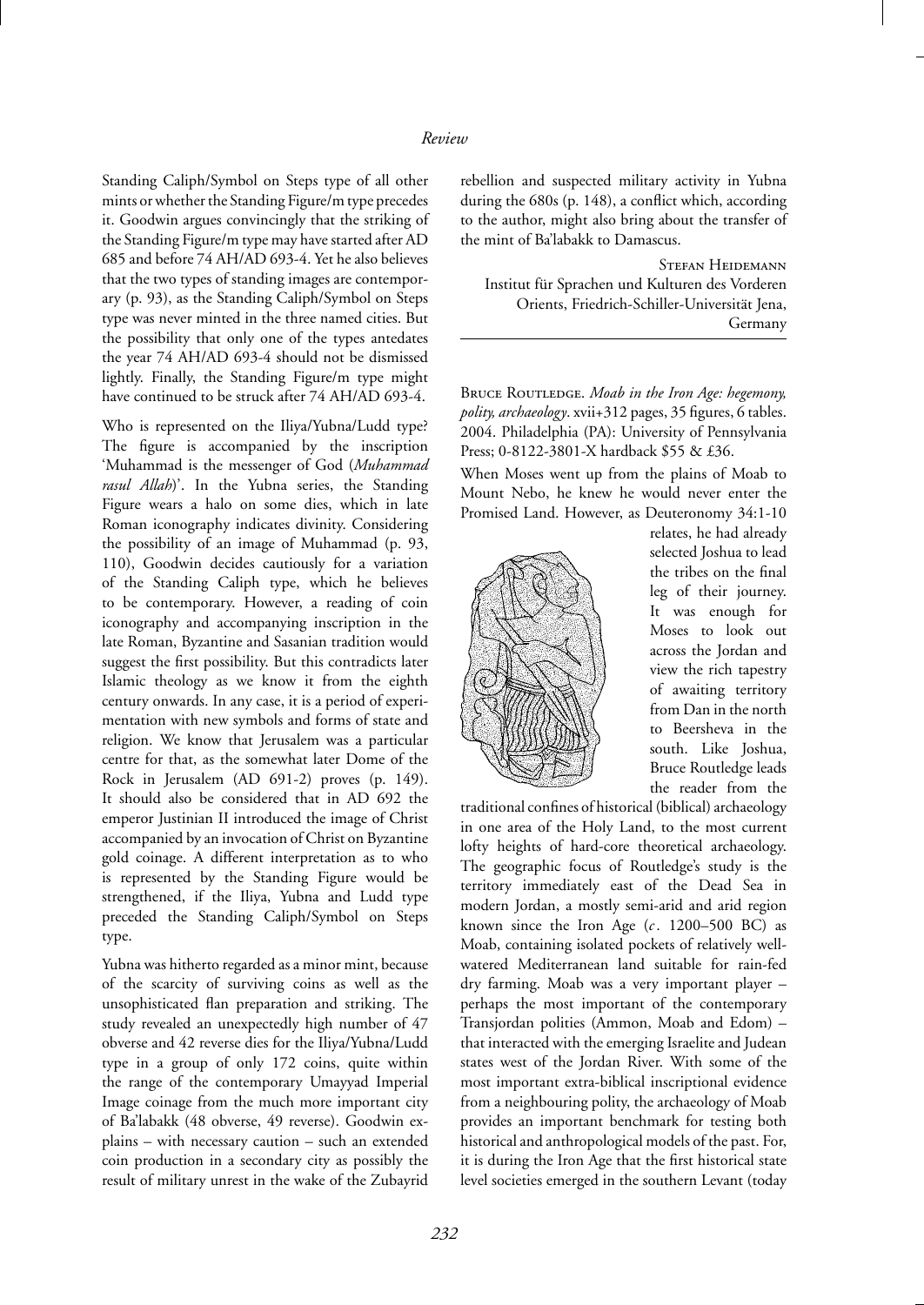Standing Caliph/Symbol on Steps type of all other mints or whether the Standing Figure/m type precedes it. Goodwin argues convincingly that the striking of the Standing Figure/m type may have started after AD 685 and before 74 AH/AD 693-4. Yet he also believes that the two types of standing images are contemporary (p. 93), as the Standing Caliph/Symbol on Steps type was never minted in the three named cities. But the possibility that only one of the types antedates the year 74 AH/AD 693-4 should not be dismissed lightly. Finally, the Standing Figure/m type might have continued to be struck after 74 AH/AD 693-4.

Who is represented on the Iliya/Yubna/Ludd type? The figure is accompanied by the inscription 'Muhammad is the messenger of God (*Muhammad rasul Allah*)'. In the Yubna series, the Standing Figure wears a halo on some dies, which in late Roman iconography indicates divinity. Considering the possibility of an image of Muhammad (p. 93, 110), Goodwin decides cautiously for a variation of the Standing Caliph type, which he believes to be contemporary. However, a reading of coin iconography and accompanying inscription in the late Roman, Byzantine and Sasanian tradition would suggest the first possibility. But this contradicts later Islamic theology as we know it from the eighth century onwards. In any case, it is a period of experimentation with new symbols and forms of state and religion. We know that Jerusalem was a particular centre for that, as the somewhat later Dome of the Rock in Jerusalem (AD 691-2) proves (p. 149). It should also be considered that in AD 692 the emperor Justinian II introduced the image of Christ accompanied by an invocation of Christ on Byzantine gold coinage. A different interpretation as to who is represented by the Standing Figure would be strengthened, if the Iliya, Yubna and Ludd type preceded the Standing Caliph/Symbol on Steps type.

Yubna was hitherto regarded as a minor mint, because of the scarcity of surviving coins as well as the unsophisticated flan preparation and striking. The study revealed an unexpectedly high number of 47 obverse and 42 reverse dies for the Iliya/Yubna/Ludd type in a group of only 172 coins, quite within the range of the contemporary Umayyad Imperial Image coinage from the much more important city of Ba'labakk (48 obverse, 49 reverse). Goodwin explains – with necessary caution – such an extended coin production in a secondary city as possibly the result of military unrest in the wake of the Zubayrid rebellion and suspected military activity in Yubna during the 680s (p. 148), a conflict which, according to the author, might also bring about the transfer of the mint of Ba'labakk to Damascus.

Stefan Heidemann Institut für Sprachen und Kulturen des Vorderen Orients, Friedrich-Schiller-Universitat Jena, ¨ Germany

BRUCE ROUTLEDGE. *Moab in the Iron Age: hegemony*, *polity, archaeology*. xvii+312 pages, 35 figures, 6 tables. 2004. Philadelphia (PA): University of Pennsylvania Press; 0-8122-3801-X hardback \$55 & £36.

When Moses went up from the plains of Moab to Mount Nebo, he knew he would never enter the Promised Land. However, as Deuteronomy 34:1-10



relates, he had already selected Joshua to lead the tribes on the final leg of their journey. It was enough for Moses to look out across the Jordan and view the rich tapestry of awaiting territory from Dan in the north to Beersheva in the south. Like Joshua, Bruce Routledge leads the reader from the

traditional confines of historical (biblical) archaeology in one area of the Holy Land, to the most current lofty heights of hard-core theoretical archaeology. The geographic focus of Routledge's study is the territory immediately east of the Dead Sea in modern Jordan, a mostly semi-arid and arid region known since the Iron Age  $(c. 1200-500$  BC) as Moab, containing isolated pockets of relatively wellwatered Mediterranean land suitable for rain-fed dry farming. Moab was a very important player – perhaps the most important of the contemporary Transjordan polities (Ammon, Moab and Edom) – that interacted with the emerging Israelite and Judean states west of the Jordan River. With some of the most important extra-biblical inscriptional evidence from a neighbouring polity, the archaeology of Moab provides an important benchmark for testing both historical and anthropological models of the past. For, it is during the Iron Age that the first historical state level societies emerged in the southern Levant (today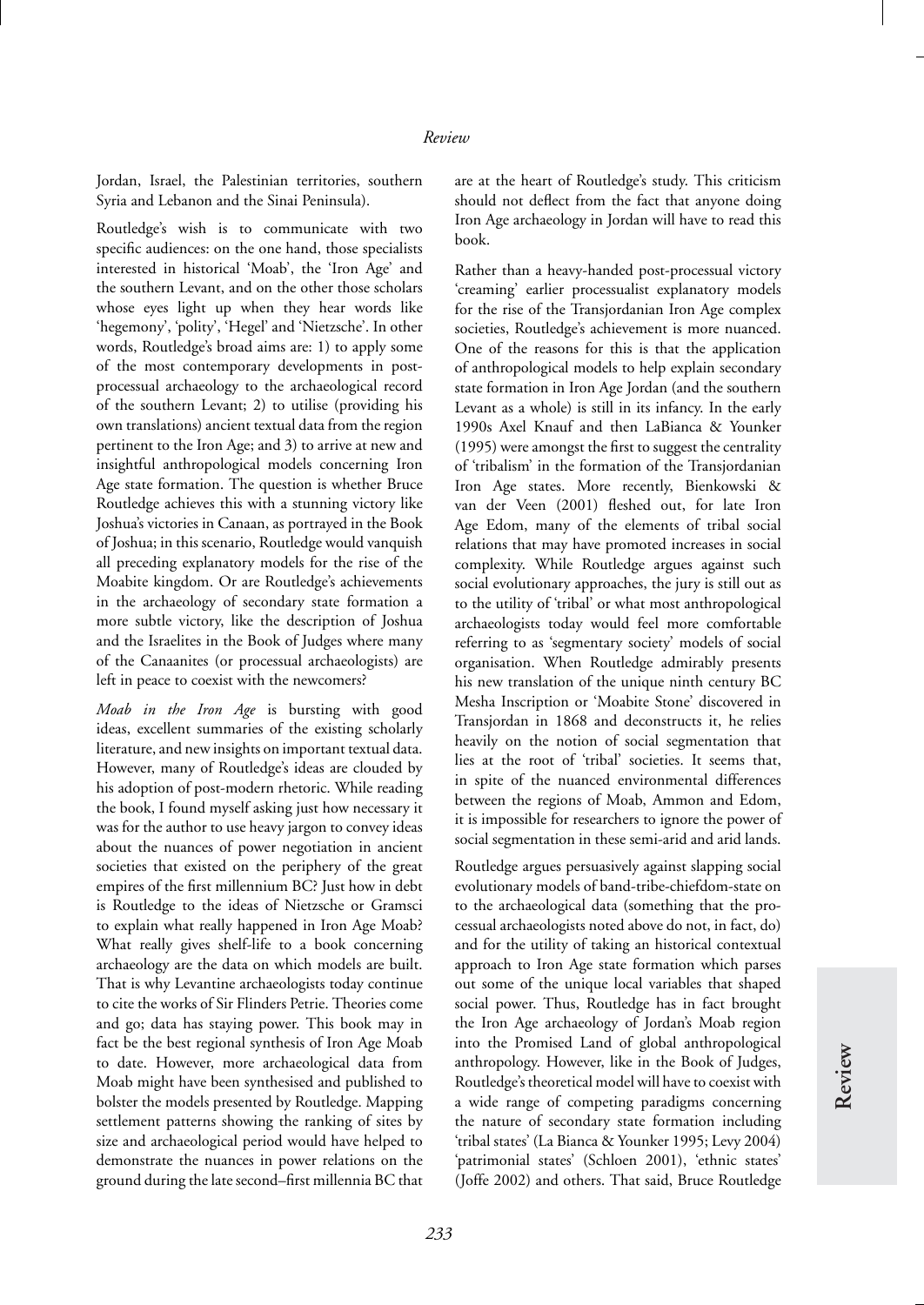Jordan, Israel, the Palestinian territories, southern Syria and Lebanon and the Sinai Peninsula).

Routledge's wish is to communicate with two specific audiences: on the one hand, those specialists interested in historical 'Moab', the 'Iron Age' and the southern Levant, and on the other those scholars whose eyes light up when they hear words like 'hegemony', 'polity', 'Hegel' and 'Nietzsche'. In other words, Routledge's broad aims are: 1) to apply some of the most contemporary developments in postprocessual archaeology to the archaeological record of the southern Levant; 2) to utilise (providing his own translations) ancient textual data from the region pertinent to the Iron Age; and 3) to arrive at new and insightful anthropological models concerning Iron Age state formation. The question is whether Bruce Routledge achieves this with a stunning victory like Joshua's victories in Canaan, as portrayed in the Book of Joshua; in this scenario, Routledge would vanquish all preceding explanatory models for the rise of the Moabite kingdom. Or are Routledge's achievements in the archaeology of secondary state formation a more subtle victory, like the description of Joshua and the Israelites in the Book of Judges where many of the Canaanites (or processual archaeologists) are left in peace to coexist with the newcomers?

*Moab in the Iron Age* is bursting with good ideas, excellent summaries of the existing scholarly literature, and new insights on important textual data. However, many of Routledge's ideas are clouded by his adoption of post-modern rhetoric. While reading the book, I found myself asking just how necessary it was for the author to use heavy jargon to convey ideas about the nuances of power negotiation in ancient societies that existed on the periphery of the great empires of the first millennium BC? Just how in debt is Routledge to the ideas of Nietzsche or Gramsci to explain what really happened in Iron Age Moab? What really gives shelf-life to a book concerning archaeology are the data on which models are built. That is why Levantine archaeologists today continue to cite the works of Sir Flinders Petrie. Theories come and go; data has staying power. This book may in fact be the best regional synthesis of Iron Age Moab to date. However, more archaeological data from Moab might have been synthesised and published to bolster the models presented by Routledge. Mapping settlement patterns showing the ranking of sites by size and archaeological period would have helped to demonstrate the nuances in power relations on the ground during the late second–first millennia BC that

are at the heart of Routledge's study. This criticism should not deflect from the fact that anyone doing Iron Age archaeology in Jordan will have to read this book.

Rather than a heavy-handed post-processual victory 'creaming' earlier processualist explanatory models for the rise of the Transjordanian Iron Age complex societies, Routledge's achievement is more nuanced. One of the reasons for this is that the application of anthropological models to help explain secondary state formation in Iron Age Jordan (and the southern Levant as a whole) is still in its infancy. In the early 1990s Axel Knauf and then LaBianca & Younker (1995) were amongst the first to suggest the centrality of 'tribalism' in the formation of the Transjordanian Iron Age states. More recently, Bienkowski & van der Veen (2001) fleshed out, for late Iron Age Edom, many of the elements of tribal social relations that may have promoted increases in social complexity. While Routledge argues against such social evolutionary approaches, the jury is still out as to the utility of 'tribal' or what most anthropological archaeologists today would feel more comfortable referring to as 'segmentary society' models of social organisation. When Routledge admirably presents his new translation of the unique ninth century BC Mesha Inscription or 'Moabite Stone' discovered in Transjordan in 1868 and deconstructs it, he relies heavily on the notion of social segmentation that lies at the root of 'tribal' societies. It seems that, in spite of the nuanced environmental differences between the regions of Moab, Ammon and Edom, it is impossible for researchers to ignore the power of social segmentation in these semi-arid and arid lands.

Routledge argues persuasively against slapping social evolutionary models of band-tribe-chiefdom-state on to the archaeological data (something that the processual archaeologists noted above do not, in fact, do) and for the utility of taking an historical contextual approach to Iron Age state formation which parses out some of the unique local variables that shaped social power. Thus, Routledge has in fact brought the Iron Age archaeology of Jordan's Moab region into the Promised Land of global anthropological anthropology. However, like in the Book of Judges, Routledge's theoretical model will have to coexist with a wide range of competing paradigms concerning the nature of secondary state formation including 'tribal states' (La Bianca & Younker 1995; Levy 2004) 'patrimonial states' (Schloen 2001), 'ethnic states' (Joffe 2002) and others. That said, Bruce Routledge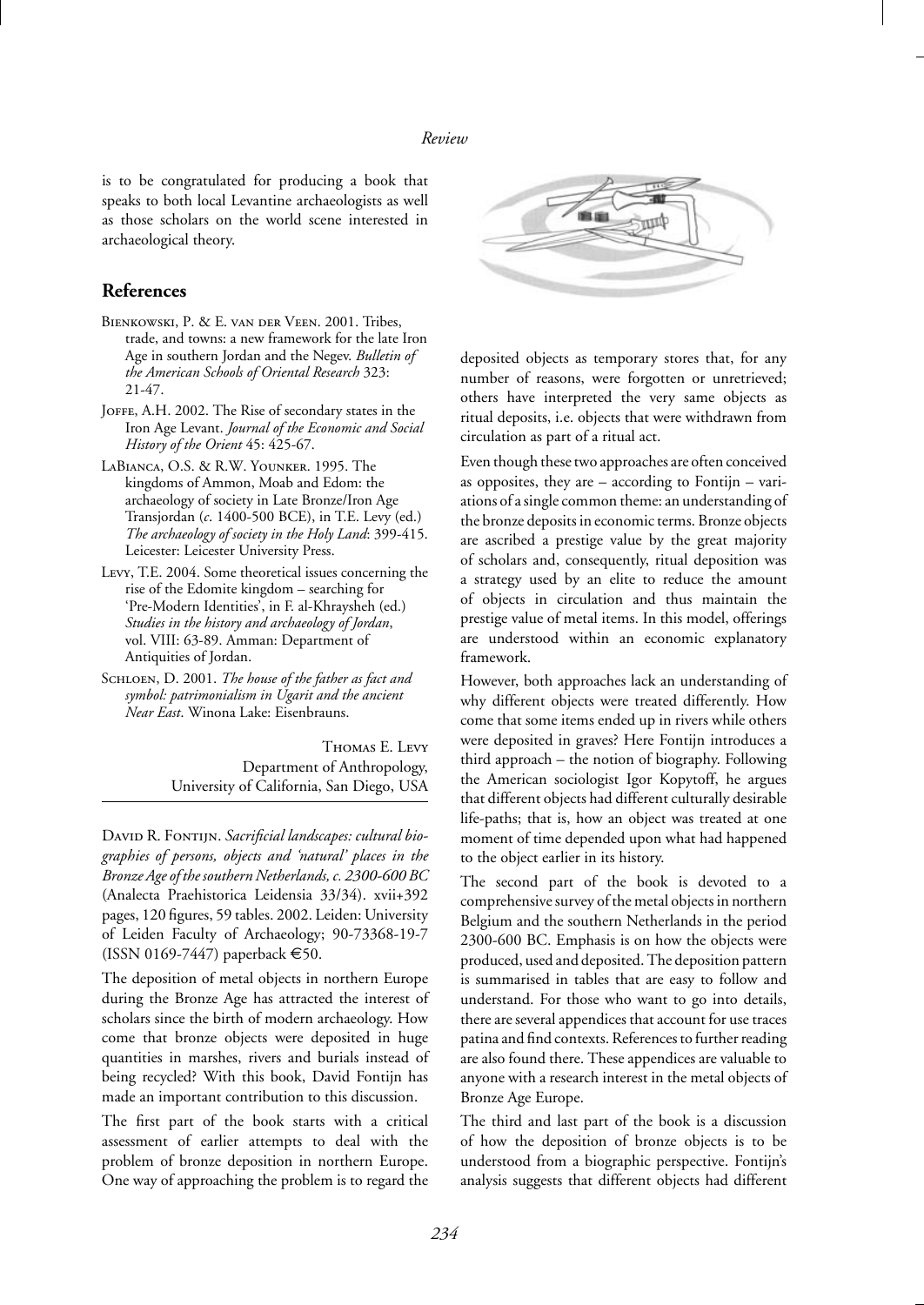is to be congratulated for producing a book that speaks to both local Levantine archaeologists as well as those scholars on the world scene interested in archaeological theory.

# **References**

- Bienkowski, P. & E. van der Veen. 2001. Tribes, trade, and towns: a new framework for the late Iron Age in southern Jordan and the Negev. *Bulletin of the American Schools of Oriental Research* 323: 21-47.
- JOFFE, A.H. 2002. The Rise of secondary states in the Iron Age Levant. *Journal of the Economic and Social History of the Orient* 45: 425-67.
- LaBianca, O.S. & R.W. Younker. 1995. The kingdoms of Ammon, Moab and Edom: the archaeology of society in Late Bronze/Iron Age Transjordan (*c*. 1400-500 BCE), in T.E. Levy (ed.) *The archaeology of society in the Holy Land*: 399-415. Leicester: Leicester University Press.
- Levy, T.E. 2004. Some theoretical issues concerning the rise of the Edomite kingdom – searching for 'Pre-Modern Identities', in F. al-Khraysheh (ed.) *Studies in the history and archaeology of Jordan*, vol. VIII: 63-89. Amman: Department of Antiquities of Jordan.
- Schloen, D. 2001. *The house of the father as fact and symbol: patrimonialism in Ugarit and the ancient Near East*. Winona Lake: Eisenbrauns.

Thomas E. Levy Department of Anthropology, University of California, San Diego, USA

David R. Fontijn. *Sacrificial landscapes: cultural biographies of persons, objects and 'natural' places in the Bronze Age of the southern Netherlands, c. 2300-600 BC* (Analecta Praehistorica Leidensia 33/34). xvii+392 pages, 120 figures, 59 tables. 2002. Leiden: University of Leiden Faculty of Archaeology; 90-73368-19-7 (ISSN 0169-7447) paperback €50.

The deposition of metal objects in northern Europe during the Bronze Age has attracted the interest of scholars since the birth of modern archaeology. How come that bronze objects were deposited in huge quantities in marshes, rivers and burials instead of being recycled? With this book, David Fontijn has made an important contribution to this discussion.

The first part of the book starts with a critical assessment of earlier attempts to deal with the problem of bronze deposition in northern Europe. One way of approaching the problem is to regard the



deposited objects as temporary stores that, for any number of reasons, were forgotten or unretrieved; others have interpreted the very same objects as ritual deposits, i.e. objects that were withdrawn from circulation as part of a ritual act.

Even though these two approaches are often conceived as opposites, they are – according to Fontijn – variations of a single common theme: an understanding of the bronze deposits in economic terms. Bronze objects are ascribed a prestige value by the great majority of scholars and, consequently, ritual deposition was a strategy used by an elite to reduce the amount of objects in circulation and thus maintain the prestige value of metal items. In this model, offerings are understood within an economic explanatory framework.

However, both approaches lack an understanding of why different objects were treated differently. How come that some items ended up in rivers while others were deposited in graves? Here Fontijn introduces a third approach – the notion of biography. Following the American sociologist Igor Kopytoff, he argues that different objects had different culturally desirable life-paths; that is, how an object was treated at one moment of time depended upon what had happened to the object earlier in its history.

The second part of the book is devoted to a comprehensive survey of the metal objects in northern Belgium and the southern Netherlands in the period 2300-600 BC. Emphasis is on how the objects were produced, used and deposited. The deposition pattern is summarised in tables that are easy to follow and understand. For those who want to go into details, there are several appendices that account for use traces patina and find contexts. References to further reading are also found there. These appendices are valuable to anyone with a research interest in the metal objects of Bronze Age Europe.

The third and last part of the book is a discussion of how the deposition of bronze objects is to be understood from a biographic perspective. Fontijn's analysis suggests that different objects had different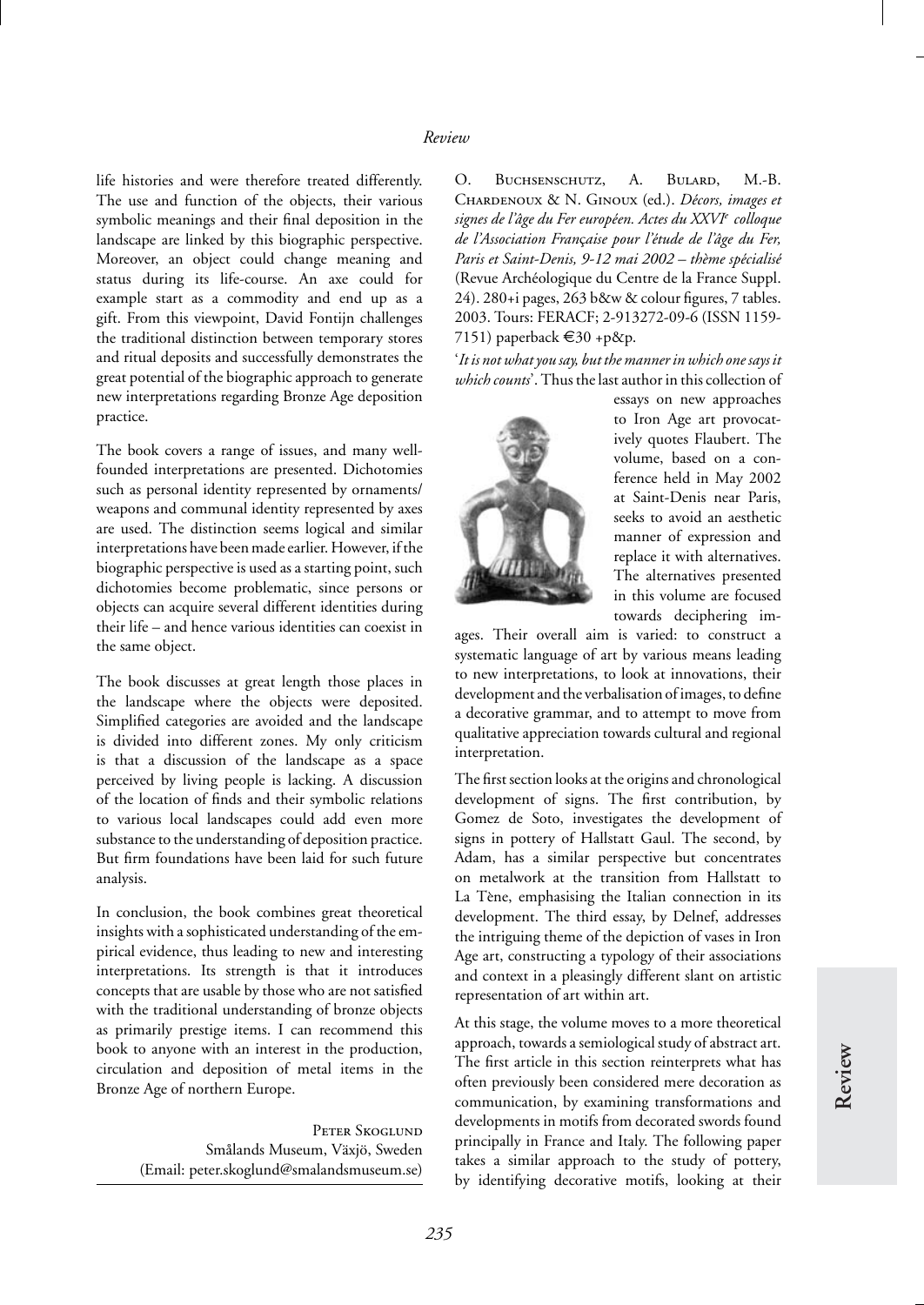life histories and were therefore treated differently. The use and function of the objects, their various symbolic meanings and their final deposition in the landscape are linked by this biographic perspective. Moreover, an object could change meaning and status during its life-course. An axe could for example start as a commodity and end up as a gift. From this viewpoint, David Fontijn challenges the traditional distinction between temporary stores and ritual deposits and successfully demonstrates the great potential of the biographic approach to generate new interpretations regarding Bronze Age deposition practice.

The book covers a range of issues, and many wellfounded interpretations are presented. Dichotomies such as personal identity represented by ornaments/ weapons and communal identity represented by axes are used. The distinction seems logical and similar interpretations have been made earlier. However, if the biographic perspective is used as a starting point, such dichotomies become problematic, since persons or objects can acquire several different identities during their life – and hence various identities can coexist in the same object.

The book discusses at great length those places in the landscape where the objects were deposited. Simplified categories are avoided and the landscape is divided into different zones. My only criticism is that a discussion of the landscape as a space perceived by living people is lacking. A discussion of the location of finds and their symbolic relations to various local landscapes could add even more substance to the understanding of deposition practice. But firm foundations have been laid for such future analysis.

In conclusion, the book combines great theoretical insights with a sophisticated understanding of the empirical evidence, thus leading to new and interesting interpretations. Its strength is that it introduces concepts that are usable by those who are not satisfied with the traditional understanding of bronze objects as primarily prestige items. I can recommend this book to anyone with an interest in the production, circulation and deposition of metal items in the Bronze Age of northern Europe.

> PETER SKOGLUND Smålands Museum, Växjö, Sweden (Email: peter.skoglund@smalandsmuseum.se)

O. BUCHSENSCHUTZ, A. BULARD, M.-B. Chardenoux & N. Ginoux (ed.). *D´ecors, images et signes de l'age du Fer europ ˆ ´een. Actes du XXVIe colloque de l'Association Fran*c¸*aise pour l'´etude de l'age du Fer, ˆ* Paris et Saint-Denis, 9-12 mai 2002 – thème spécialisé (Revue Archéologique du Centre de la France Suppl. 24). 280+i pages, 263 b&w & colour figures, 7 tables. 2003. Tours: FERACF; 2-913272-09-6 (ISSN 1159- 7151) paperback €30 +p&p.

'*It is not what you say, but the manner in which one says it which counts*'. Thus the last author in this collection of



essays on new approaches to Iron Age art provocatively quotes Flaubert. The volume, based on a conference held in May 2002 at Saint-Denis near Paris, seeks to avoid an aesthetic manner of expression and replace it with alternatives. The alternatives presented in this volume are focused towards deciphering im-

ages. Their overall aim is varied: to construct a systematic language of art by various means leading to new interpretations, to look at innovations, their development and the verbalisation of images, to define a decorative grammar, and to attempt to move from qualitative appreciation towards cultural and regional interpretation.

The first section looks at the origins and chronological development of signs. The first contribution, by Gomez de Soto, investigates the development of signs in pottery of Hallstatt Gaul. The second, by Adam, has a similar perspective but concentrates on metalwork at the transition from Hallstatt to La Tène, emphasising the Italian connection in its development. The third essay, by Delnef, addresses the intriguing theme of the depiction of vases in Iron Age art, constructing a typology of their associations and context in a pleasingly different slant on artistic representation of art within art.

At this stage, the volume moves to a more theoretical approach, towards a semiological study of abstract art. The first article in this section reinterprets what has often previously been considered mere decoration as communication, by examining transformations and developments in motifs from decorated swords found principally in France and Italy. The following paper takes a similar approach to the study of pottery, by identifying decorative motifs, looking at their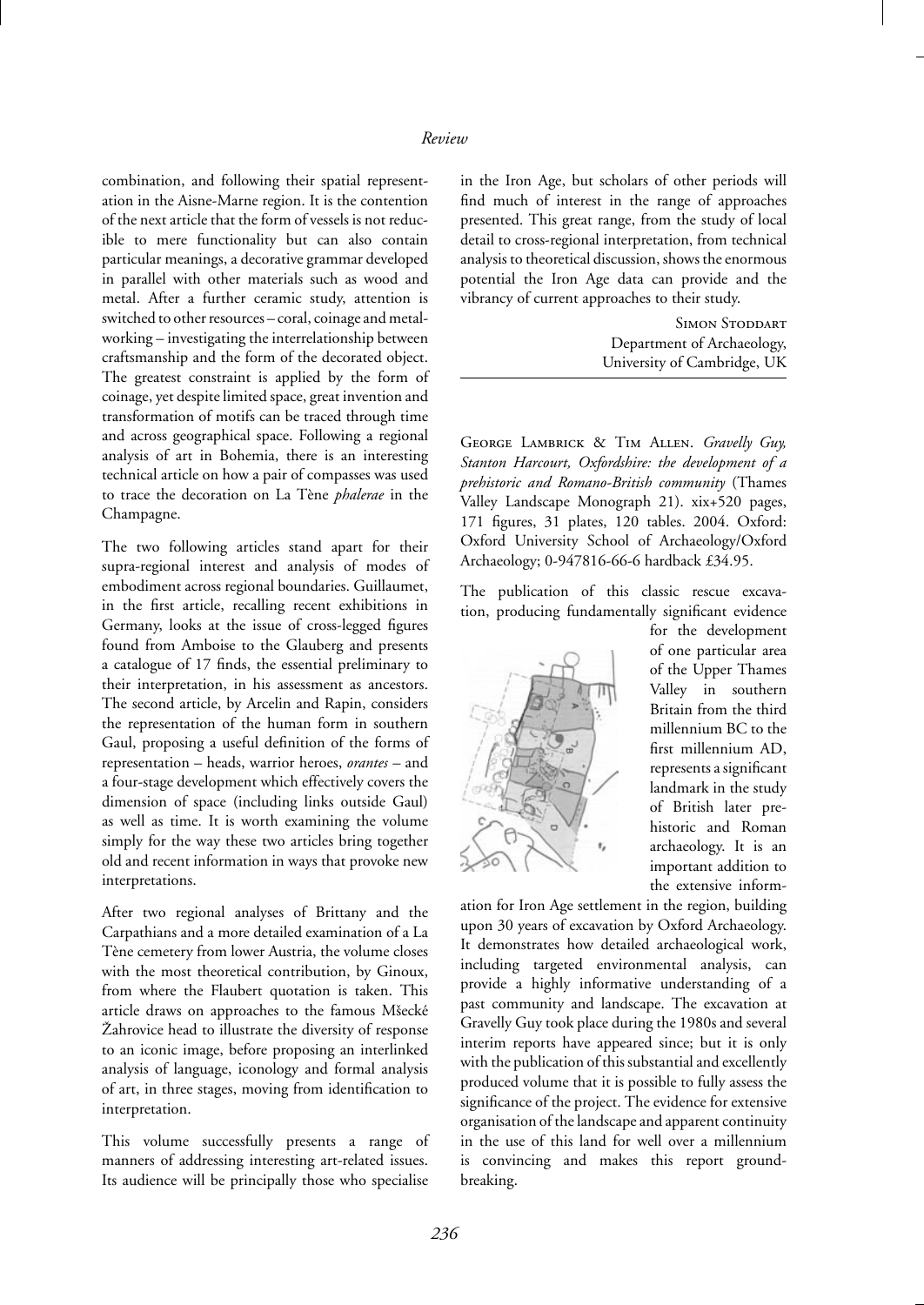combination, and following their spatial representation in the Aisne-Marne region. It is the contention of the next article that the form of vessels is not reducible to mere functionality but can also contain particular meanings, a decorative grammar developed in parallel with other materials such as wood and metal. After a further ceramic study, attention is switched to other resources – coral, coinage and metalworking – investigating the interrelationship between craftsmanship and the form of the decorated object. The greatest constraint is applied by the form of coinage, yet despite limited space, great invention and transformation of motifs can be traced through time and across geographical space. Following a regional analysis of art in Bohemia, there is an interesting technical article on how a pair of compasses was used to trace the decoration on La Tène *phalerae* in the Champagne.

The two following articles stand apart for their supra-regional interest and analysis of modes of embodiment across regional boundaries. Guillaumet, in the first article, recalling recent exhibitions in Germany, looks at the issue of cross-legged figures found from Amboise to the Glauberg and presents a catalogue of 17 finds, the essential preliminary to their interpretation, in his assessment as ancestors. The second article, by Arcelin and Rapin, considers the representation of the human form in southern Gaul, proposing a useful definition of the forms of representation – heads, warrior heroes, *orantes* – and a four-stage development which effectively covers the dimension of space (including links outside Gaul) as well as time. It is worth examining the volume simply for the way these two articles bring together old and recent information in ways that provoke new interpretations.

After two regional analyses of Brittany and the Carpathians and a more detailed examination of a La Tène cemetery from lower Austria, the volume closes with the most theoretical contribution, by Ginoux, from where the Flaubert quotation is taken. This article draws on approaches to the famous Mšecké Zahrovice head to illustrate the diversity of response to an iconic image, before proposing an interlinked analysis of language, iconology and formal analysis of art, in three stages, moving from identification to interpretation.

This volume successfully presents a range of manners of addressing interesting art-related issues. Its audience will be principally those who specialise in the Iron Age, but scholars of other periods will find much of interest in the range of approaches presented. This great range, from the study of local detail to cross-regional interpretation, from technical analysis to theoretical discussion, shows the enormous potential the Iron Age data can provide and the vibrancy of current approaches to their study.

> SIMON STODDART Department of Archaeology, University of Cambridge, UK

George Lambrick & Tim Allen. *Gravelly Guy, Stanton Harcourt, Oxfordshire: the development of a prehistoric and Romano-British community* (Thames Valley Landscape Monograph 21). xix+520 pages, 171 figures, 31 plates, 120 tables. 2004. Oxford: Oxford University School of Archaeology/Oxford Archaeology; 0-947816-66-6 hardback £34.95.

The publication of this classic rescue excavation, producing fundamentally significant evidence



for the development of one particular area of the Upper Thames Valley in southern Britain from the third millennium BC to the first millennium AD, represents a significant landmark in the study of British later prehistoric and Roman archaeology. It is an important addition to the extensive inform-

ation for Iron Age settlement in the region, building upon 30 years of excavation by Oxford Archaeology. It demonstrates how detailed archaeological work, including targeted environmental analysis, can provide a highly informative understanding of a past community and landscape. The excavation at Gravelly Guy took place during the 1980s and several interim reports have appeared since; but it is only with the publication of this substantial and excellently produced volume that it is possible to fully assess the significance of the project. The evidence for extensive organisation of the landscape and apparent continuity in the use of this land for well over a millennium is convincing and makes this report groundbreaking.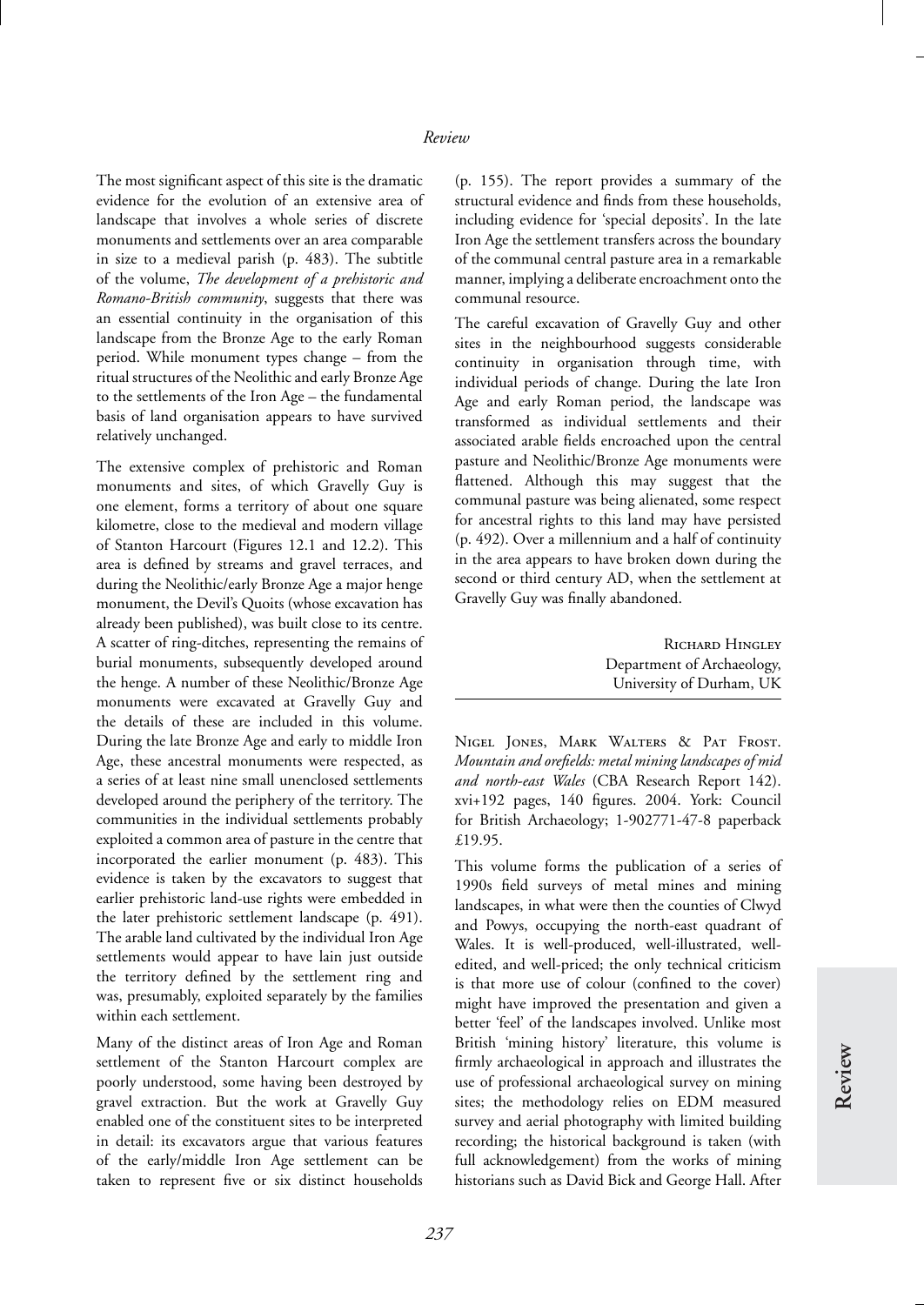The most significant aspect of this site is the dramatic evidence for the evolution of an extensive area of landscape that involves a whole series of discrete monuments and settlements over an area comparable in size to a medieval parish (p. 483). The subtitle of the volume, *The development of a prehistoric and Romano-British community*, suggests that there was an essential continuity in the organisation of this landscape from the Bronze Age to the early Roman period. While monument types change – from the ritual structures of the Neolithic and early Bronze Age to the settlements of the Iron Age – the fundamental basis of land organisation appears to have survived relatively unchanged.

The extensive complex of prehistoric and Roman monuments and sites, of which Gravelly Guy is one element, forms a territory of about one square kilometre, close to the medieval and modern village of Stanton Harcourt (Figures 12.1 and 12.2). This area is defined by streams and gravel terraces, and during the Neolithic/early Bronze Age a major henge monument, the Devil's Quoits (whose excavation has already been published), was built close to its centre. A scatter of ring-ditches, representing the remains of burial monuments, subsequently developed around the henge. A number of these Neolithic/Bronze Age monuments were excavated at Gravelly Guy and the details of these are included in this volume. During the late Bronze Age and early to middle Iron Age, these ancestral monuments were respected, as a series of at least nine small unenclosed settlements developed around the periphery of the territory. The communities in the individual settlements probably exploited a common area of pasture in the centre that incorporated the earlier monument (p. 483). This evidence is taken by the excavators to suggest that earlier prehistoric land-use rights were embedded in the later prehistoric settlement landscape (p. 491). The arable land cultivated by the individual Iron Age settlements would appear to have lain just outside the territory defined by the settlement ring and was, presumably, exploited separately by the families within each settlement.

Many of the distinct areas of Iron Age and Roman settlement of the Stanton Harcourt complex are poorly understood, some having been destroyed by gravel extraction. But the work at Gravelly Guy enabled one of the constituent sites to be interpreted in detail: its excavators argue that various features of the early/middle Iron Age settlement can be taken to represent five or six distinct households (p. 155). The report provides a summary of the structural evidence and finds from these households, including evidence for 'special deposits'. In the late Iron Age the settlement transfers across the boundary of the communal central pasture area in a remarkable manner, implying a deliberate encroachment onto the communal resource.

The careful excavation of Gravelly Guy and other sites in the neighbourhood suggests considerable continuity in organisation through time, with individual periods of change. During the late Iron Age and early Roman period, the landscape was transformed as individual settlements and their associated arable fields encroached upon the central pasture and Neolithic/Bronze Age monuments were flattened. Although this may suggest that the communal pasture was being alienated, some respect for ancestral rights to this land may have persisted (p. 492). Over a millennium and a half of continuity in the area appears to have broken down during the second or third century AD, when the settlement at Gravelly Guy was finally abandoned.

> RICHARD HINGLEY Department of Archaeology, University of Durham, UK

Nigel Jones, Mark Walters & Pat Frost. *Mountain and orefields: metal mining landscapes of mid and north-east Wales* (CBA Research Report 142). xvi+192 pages, 140 figures. 2004. York: Council for British Archaeology; 1-902771-47-8 paperback £19.95.

This volume forms the publication of a series of 1990s field surveys of metal mines and mining landscapes, in what were then the counties of Clwyd and Powys, occupying the north-east quadrant of Wales. It is well-produced, well-illustrated, welledited, and well-priced; the only technical criticism is that more use of colour (confined to the cover) might have improved the presentation and given a better 'feel' of the landscapes involved. Unlike most British 'mining history' literature, this volume is firmly archaeological in approach and illustrates the use of professional archaeological survey on mining sites; the methodology relies on EDM measured survey and aerial photography with limited building recording; the historical background is taken (with full acknowledgement) from the works of mining historians such as David Bick and George Hall. After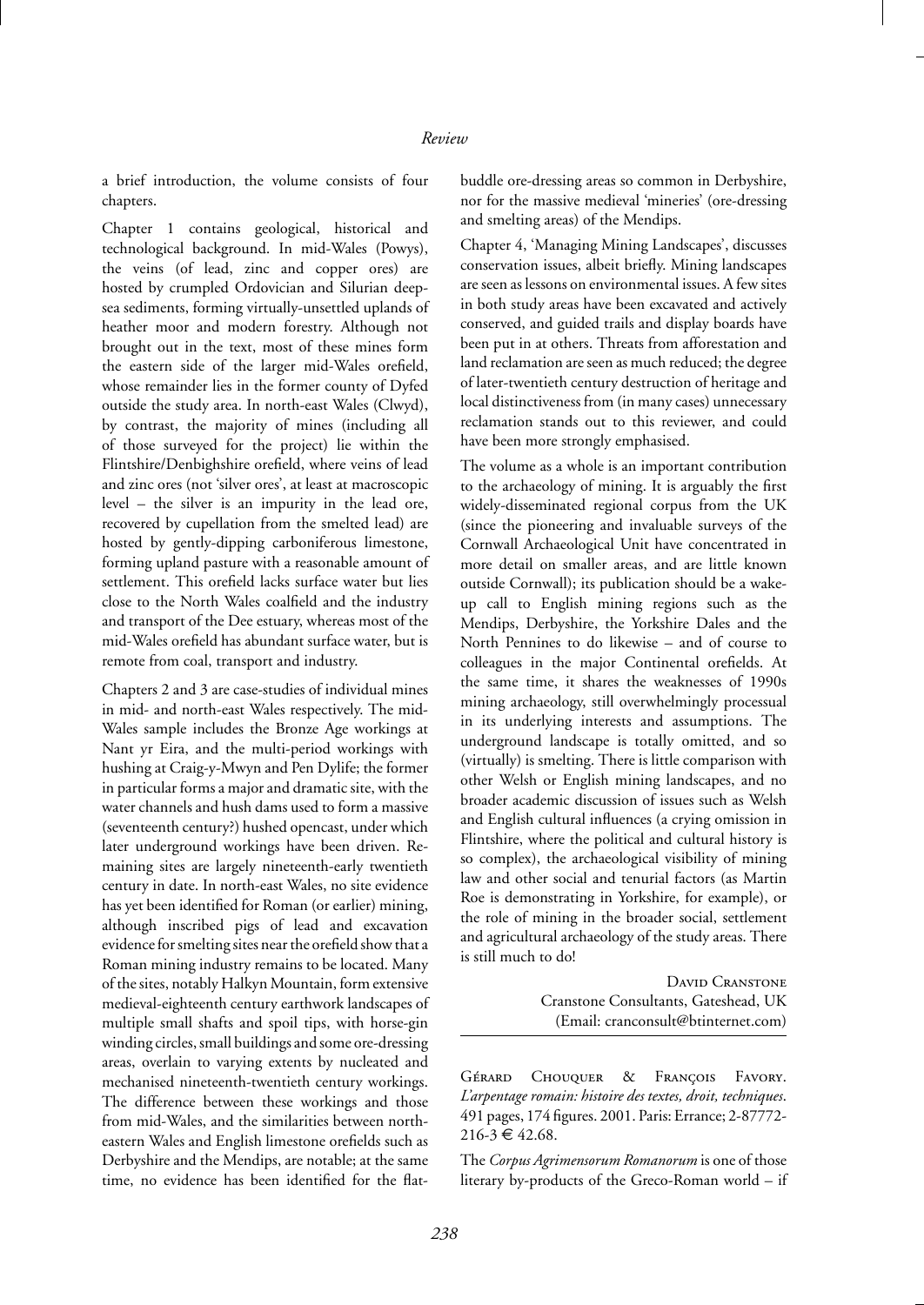a brief introduction, the volume consists of four chapters.

Chapter 1 contains geological, historical and technological background. In mid-Wales (Powys), the veins (of lead, zinc and copper ores) are hosted by crumpled Ordovician and Silurian deepsea sediments, forming virtually-unsettled uplands of heather moor and modern forestry. Although not brought out in the text, most of these mines form the eastern side of the larger mid-Wales orefield, whose remainder lies in the former county of Dyfed outside the study area. In north-east Wales (Clwyd), by contrast, the majority of mines (including all of those surveyed for the project) lie within the Flintshire/Denbighshire orefield, where veins of lead and zinc ores (not 'silver ores', at least at macroscopic level – the silver is an impurity in the lead ore, recovered by cupellation from the smelted lead) are hosted by gently-dipping carboniferous limestone, forming upland pasture with a reasonable amount of settlement. This orefield lacks surface water but lies close to the North Wales coalfield and the industry and transport of the Dee estuary, whereas most of the mid-Wales orefield has abundant surface water, but is remote from coal, transport and industry.

Chapters 2 and 3 are case-studies of individual mines in mid- and north-east Wales respectively. The mid-Wales sample includes the Bronze Age workings at Nant yr Eira, and the multi-period workings with hushing at Craig-y-Mwyn and Pen Dylife; the former in particular forms a major and dramatic site, with the water channels and hush dams used to form a massive (seventeenth century?) hushed opencast, under which later underground workings have been driven. Remaining sites are largely nineteenth-early twentieth century in date. In north-east Wales, no site evidence has yet been identified for Roman (or earlier) mining, although inscribed pigs of lead and excavation evidence for smelting sites near the orefield show that a Roman mining industry remains to be located. Many of the sites, notably Halkyn Mountain, form extensive medieval-eighteenth century earthwork landscapes of multiple small shafts and spoil tips, with horse-gin winding circles, small buildings and some ore-dressing areas, overlain to varying extents by nucleated and mechanised nineteenth-twentieth century workings. The difference between these workings and those from mid-Wales, and the similarities between northeastern Wales and English limestone orefields such as Derbyshire and the Mendips, are notable; at the same time, no evidence has been identified for the flatbuddle ore-dressing areas so common in Derbyshire, nor for the massive medieval 'mineries' (ore-dressing and smelting areas) of the Mendips.

Chapter 4, 'Managing Mining Landscapes', discusses conservation issues, albeit briefly. Mining landscapes are seen as lessons on environmental issues. A few sites in both study areas have been excavated and actively conserved, and guided trails and display boards have been put in at others. Threats from afforestation and land reclamation are seen as much reduced; the degree of later-twentieth century destruction of heritage and local distinctiveness from (in many cases) unnecessary reclamation stands out to this reviewer, and could have been more strongly emphasised.

The volume as a whole is an important contribution to the archaeology of mining. It is arguably the first widely-disseminated regional corpus from the UK (since the pioneering and invaluable surveys of the Cornwall Archaeological Unit have concentrated in more detail on smaller areas, and are little known outside Cornwall); its publication should be a wakeup call to English mining regions such as the Mendips, Derbyshire, the Yorkshire Dales and the North Pennines to do likewise – and of course to colleagues in the major Continental orefields. At the same time, it shares the weaknesses of 1990s mining archaeology, still overwhelmingly processual in its underlying interests and assumptions. The underground landscape is totally omitted, and so (virtually) is smelting. There is little comparison with other Welsh or English mining landscapes, and no broader academic discussion of issues such as Welsh and English cultural influences (a crying omission in Flintshire, where the political and cultural history is so complex), the archaeological visibility of mining law and other social and tenurial factors (as Martin Roe is demonstrating in Yorkshire, for example), or the role of mining in the broader social, settlement and agricultural archaeology of the study areas. There is still much to do!

> DAVID CRANSTONE Cranstone Consultants, Gateshead, UK (Email: cranconsult@btinternet.com)

GÉRARD CHOUQUER & FRANÇOIS FAVORY. *L'arpentage romain: histoire des textes, droit, techniques*. 491 pages, 174 figures. 2001. Paris: Errance; 2-87772-  $216 - 3 \in 42.68$ .

The *Corpus Agrimensorum Romanorum* is one of those literary by-products of the Greco-Roman world – if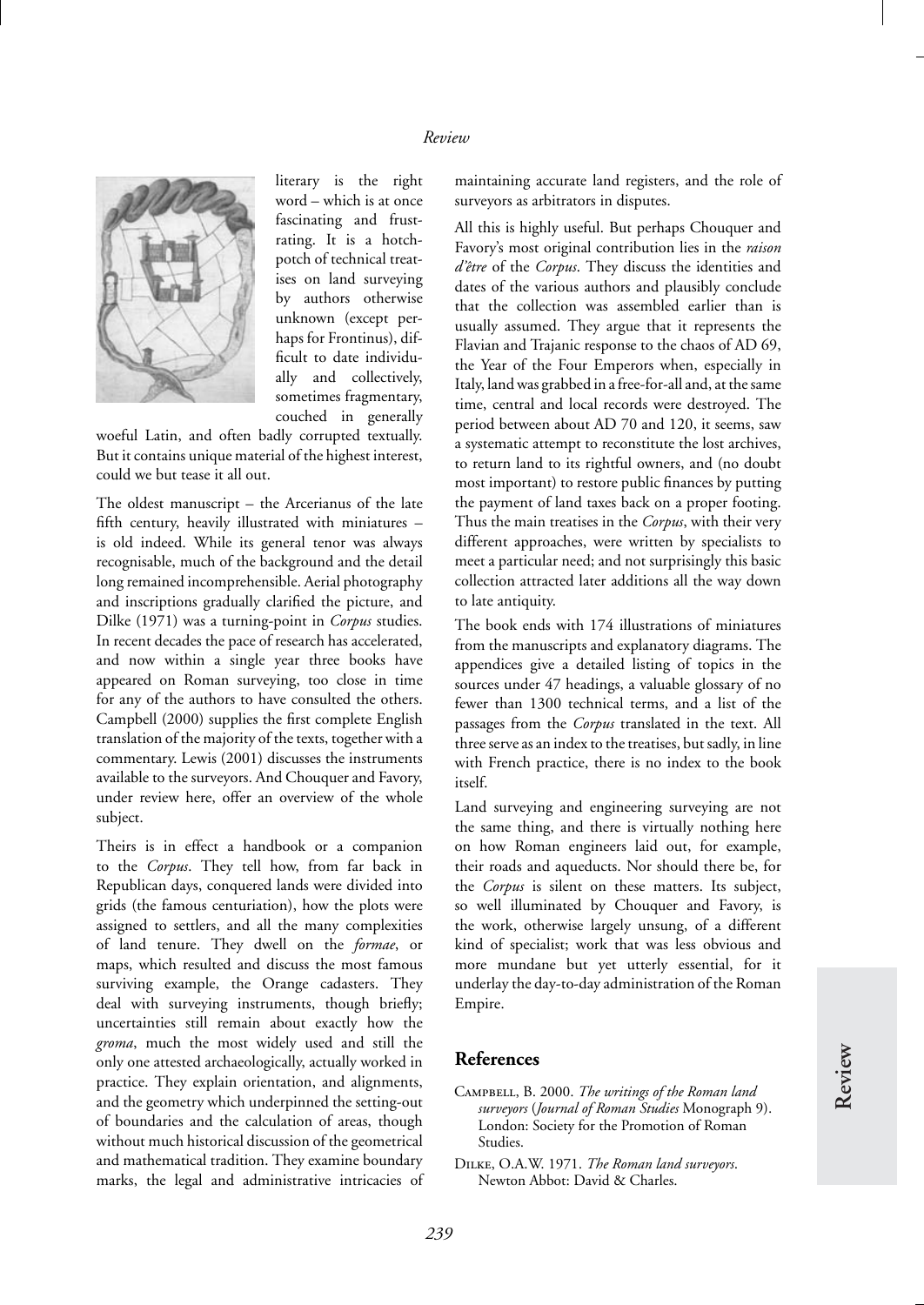

literary is the right word – which is at once fascinating and frustrating. It is a hotchpotch of technical treatises on land surveying by authors otherwise unknown (except perhaps for Frontinus), difficult to date individually and collectively, sometimes fragmentary, couched in generally

woeful Latin, and often badly corrupted textually. But it contains unique material of the highest interest, could we but tease it all out.

The oldest manuscript – the Arcerianus of the late fifth century, heavily illustrated with miniatures – is old indeed. While its general tenor was always recognisable, much of the background and the detail long remained incomprehensible. Aerial photography and inscriptions gradually clarified the picture, and Dilke (1971) was a turning-point in *Corpus* studies. In recent decades the pace of research has accelerated, and now within a single year three books have appeared on Roman surveying, too close in time for any of the authors to have consulted the others. Campbell (2000) supplies the first complete English translation of the majority of the texts, together with a commentary. Lewis (2001) discusses the instruments available to the surveyors. And Chouquer and Favory, under review here, offer an overview of the whole subject.

Theirs is in effect a handbook or a companion to the *Corpus*. They tell how, from far back in Republican days, conquered lands were divided into grids (the famous centuriation), how the plots were assigned to settlers, and all the many complexities of land tenure. They dwell on the *formae*, or maps, which resulted and discuss the most famous surviving example, the Orange cadasters. They deal with surveying instruments, though briefly; uncertainties still remain about exactly how the *groma*, much the most widely used and still the only one attested archaeologically, actually worked in practice. They explain orientation, and alignments, and the geometry which underpinned the setting-out of boundaries and the calculation of areas, though without much historical discussion of the geometrical and mathematical tradition. They examine boundary marks, the legal and administrative intricacies of maintaining accurate land registers, and the role of surveyors as arbitrators in disputes.

All this is highly useful. But perhaps Chouquer and Favory's most original contribution lies in the *raison d'ˆetre* of the *Corpus*. They discuss the identities and dates of the various authors and plausibly conclude that the collection was assembled earlier than is usually assumed. They argue that it represents the Flavian and Trajanic response to the chaos of AD 69, the Year of the Four Emperors when, especially in Italy, land was grabbed in a free-for-all and, at the same time, central and local records were destroyed. The period between about AD 70 and 120, it seems, saw a systematic attempt to reconstitute the lost archives, to return land to its rightful owners, and (no doubt most important) to restore public finances by putting the payment of land taxes back on a proper footing. Thus the main treatises in the *Corpus*, with their very different approaches, were written by specialists to meet a particular need; and not surprisingly this basic collection attracted later additions all the way down to late antiquity.

The book ends with 174 illustrations of miniatures from the manuscripts and explanatory diagrams. The appendices give a detailed listing of topics in the sources under 47 headings, a valuable glossary of no fewer than 1300 technical terms, and a list of the passages from the *Corpus* translated in the text. All three serve as an index to the treatises, but sadly, in line with French practice, there is no index to the book itself.

Land surveying and engineering surveying are not the same thing, and there is virtually nothing here on how Roman engineers laid out, for example, their roads and aqueducts. Nor should there be, for the *Corpus* is silent on these matters. Its subject, so well illuminated by Chouquer and Favory, is the work, otherwise largely unsung, of a different kind of specialist; work that was less obvious and more mundane but yet utterly essential, for it underlay the day-to-day administration of the Roman Empire.

# **References**

- Campbell, B. 2000. *The writings of the Roman land surveyors* (*Journal of Roman Studies* Monograph 9). London: Society for the Promotion of Roman **Studies**.
- Dilke, O.A.W. 1971. *The Roman land surveyors*. Newton Abbot: David & Charles.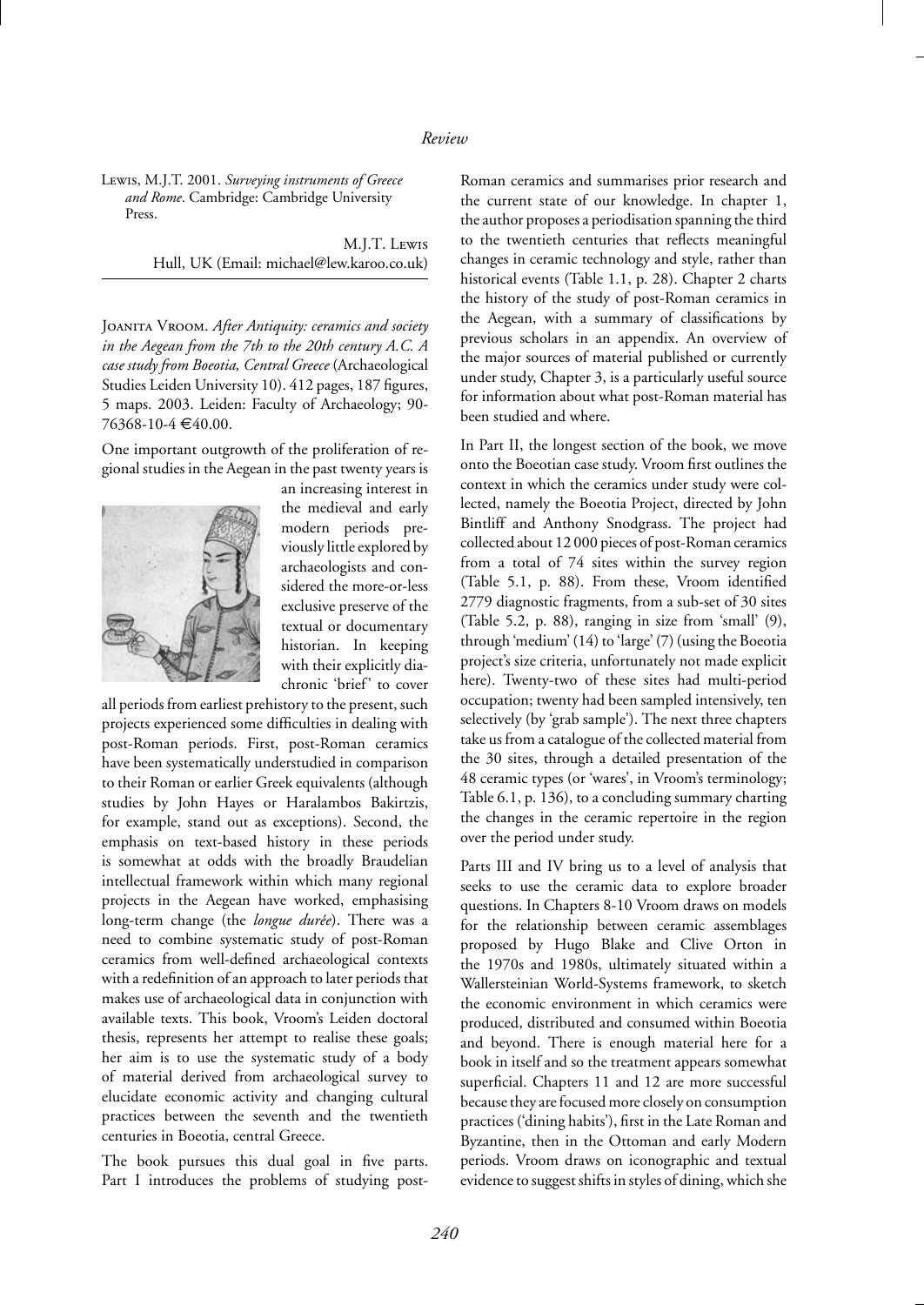Lewis, M.J.T. 2001. *Surveying instruments of Greece and Rome*. Cambridge: Cambridge University Press.

> M.J.T. Lewis Hull, UK (Email: michael@lew.karoo.co.uk)

JOANITA VROOM. After Antiquity: ceramics and society *in the Aegean from the 7th to the 20th century A.C. A case study from Boeotia, Central Greece* (Archaeological Studies Leiden University 10). 412 pages, 187 figures, 5 maps. 2003. Leiden: Faculty of Archaeology; 90- 76368-10-4 €40.00.

One important outgrowth of the proliferation of regional studies in the Aegean in the past twenty years is



an increasing interest in the medieval and early modern periods previously little explored by archaeologists and considered the more-or-less exclusive preserve of the textual or documentary historian. In keeping with their explicitly diachronic 'brief' to cover

all periods from earliest prehistory to the present, such projects experienced some difficulties in dealing with post-Roman periods. First, post-Roman ceramics have been systematically understudied in comparison to their Roman or earlier Greek equivalents (although studies by John Hayes or Haralambos Bakirtzis, for example, stand out as exceptions). Second, the emphasis on text-based history in these periods is somewhat at odds with the broadly Braudelian intellectual framework within which many regional projects in the Aegean have worked, emphasising long-term change (the *longue durée*). There was a need to combine systematic study of post-Roman ceramics from well-defined archaeological contexts with a redefinition of an approach to later periods that makes use of archaeological data in conjunction with available texts. This book, Vroom's Leiden doctoral thesis, represents her attempt to realise these goals; her aim is to use the systematic study of a body of material derived from archaeological survey to elucidate economic activity and changing cultural practices between the seventh and the twentieth centuries in Boeotia, central Greece.

The book pursues this dual goal in five parts. Part I introduces the problems of studying post-

Roman ceramics and summarises prior research and the current state of our knowledge. In chapter 1, the author proposes a periodisation spanning the third to the twentieth centuries that reflects meaningful changes in ceramic technology and style, rather than historical events (Table 1.1, p. 28). Chapter 2 charts the history of the study of post-Roman ceramics in the Aegean, with a summary of classifications by previous scholars in an appendix. An overview of the major sources of material published or currently under study, Chapter 3, is a particularly useful source for information about what post-Roman material has been studied and where.

In Part II, the longest section of the book, we move onto the Boeotian case study. Vroom first outlines the context in which the ceramics under study were collected, namely the Boeotia Project, directed by John Bintliff and Anthony Snodgrass. The project had collected about 12 000 pieces of post-Roman ceramics from a total of 74 sites within the survey region (Table 5.1, p. 88). From these, Vroom identified 2779 diagnostic fragments, from a sub-set of 30 sites (Table 5.2, p. 88), ranging in size from 'small' (9), through 'medium' (14) to 'large' (7) (using the Boeotia project's size criteria, unfortunately not made explicit here). Twenty-two of these sites had multi-period occupation; twenty had been sampled intensively, ten selectively (by 'grab sample'). The next three chapters take us from a catalogue of the collected material from the 30 sites, through a detailed presentation of the 48 ceramic types (or 'wares', in Vroom's terminology; Table 6.1, p. 136), to a concluding summary charting the changes in the ceramic repertoire in the region over the period under study.

Parts III and IV bring us to a level of analysis that seeks to use the ceramic data to explore broader questions. In Chapters 8-10 Vroom draws on models for the relationship between ceramic assemblages proposed by Hugo Blake and Clive Orton in the 1970s and 1980s, ultimately situated within a Wallersteinian World-Systems framework, to sketch the economic environment in which ceramics were produced, distributed and consumed within Boeotia and beyond. There is enough material here for a book in itself and so the treatment appears somewhat superficial. Chapters 11 and 12 are more successful because they are focused more closely on consumption practices ('dining habits'), first in the Late Roman and Byzantine, then in the Ottoman and early Modern periods. Vroom draws on iconographic and textual evidence to suggest shifts in styles of dining, which she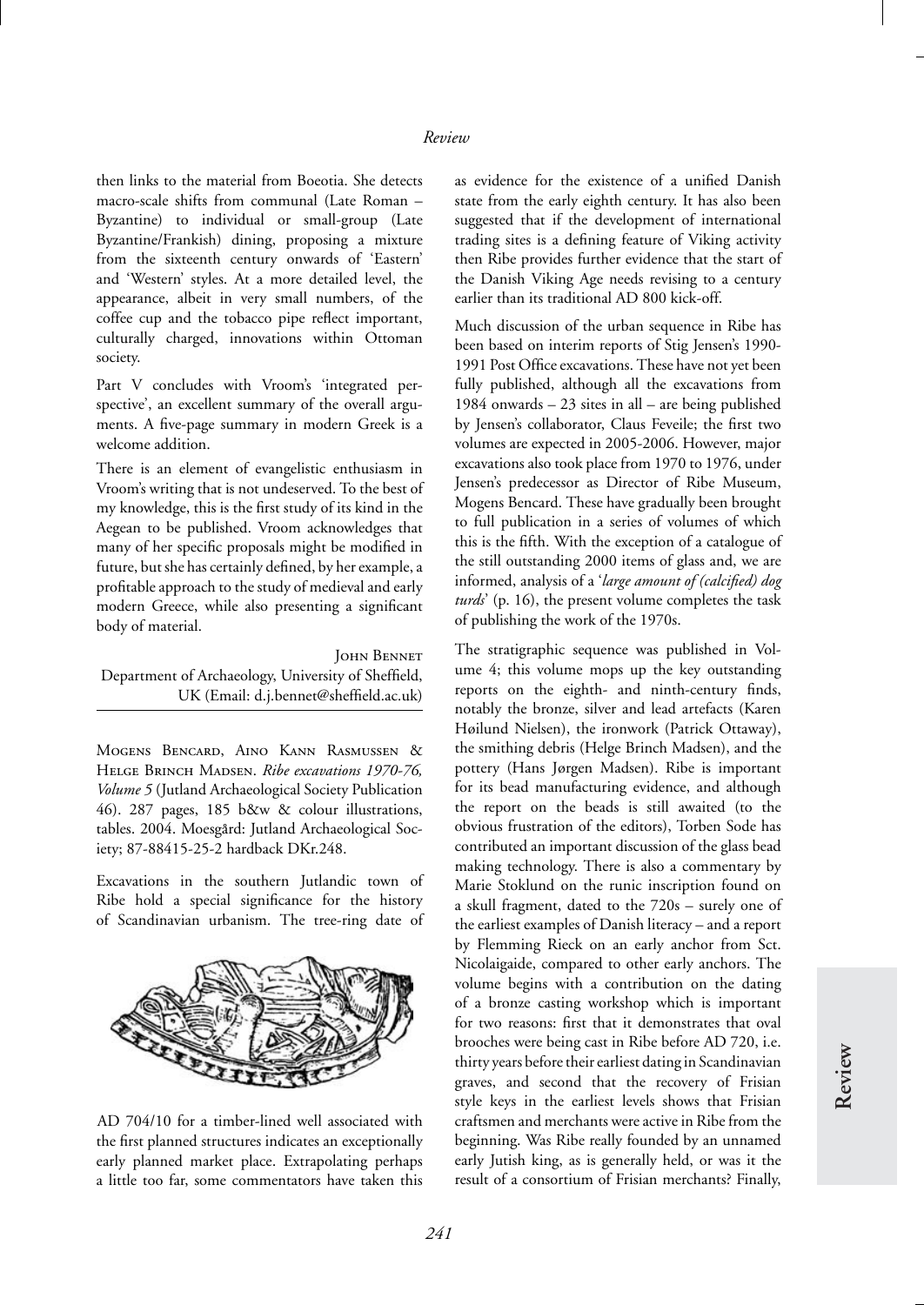then links to the material from Boeotia. She detects macro-scale shifts from communal (Late Roman – Byzantine) to individual or small-group (Late Byzantine/Frankish) dining, proposing a mixture from the sixteenth century onwards of 'Eastern' and 'Western' styles. At a more detailed level, the appearance, albeit in very small numbers, of the coffee cup and the tobacco pipe reflect important, culturally charged, innovations within Ottoman society.

Part V concludes with Vroom's 'integrated perspective', an excellent summary of the overall arguments. A five-page summary in modern Greek is a welcome addition.

There is an element of evangelistic enthusiasm in Vroom's writing that is not undeserved. To the best of my knowledge, this is the first study of its kind in the Aegean to be published. Vroom acknowledges that many of her specific proposals might be modified in future, but she has certainly defined, by her example, a profitable approach to the study of medieval and early modern Greece, while also presenting a significant body of material.

John Bennet Department of Archaeology, University of Sheffield, UK (Email: d.j.bennet@sheffield.ac.uk)

Mogens Bencard, Aino Kann Rasmussen & Helge Brinch Madsen. *Ribe excavations 1970-76, Volume 5* (Jutland Archaeological Society Publication 46). 287 pages, 185 b&w & colour illustrations, tables. 2004. Moesgård: Jutland Archaeological Society; 87-88415-25-2 hardback DKr.248.

Excavations in the southern Jutlandic town of Ribe hold a special significance for the history of Scandinavian urbanism. The tree-ring date of



AD 704/10 for a timber-lined well associated with the first planned structures indicates an exceptionally early planned market place. Extrapolating perhaps a little too far, some commentators have taken this

as evidence for the existence of a unified Danish state from the early eighth century. It has also been suggested that if the development of international trading sites is a defining feature of Viking activity then Ribe provides further evidence that the start of the Danish Viking Age needs revising to a century earlier than its traditional AD 800 kick-off.

Much discussion of the urban sequence in Ribe has been based on interim reports of Stig Jensen's 1990- 1991 Post Office excavations. These have not yet been fully published, although all the excavations from 1984 onwards – 23 sites in all – are being published by Jensen's collaborator, Claus Feveile; the first two volumes are expected in 2005-2006. However, major excavations also took place from 1970 to 1976, under Jensen's predecessor as Director of Ribe Museum, Mogens Bencard. These have gradually been brought to full publication in a series of volumes of which this is the fifth. With the exception of a catalogue of the still outstanding 2000 items of glass and, we are informed, analysis of a '*large amount of (calcified) dog turds*' (p. 16), the present volume completes the task of publishing the work of the 1970s.

The stratigraphic sequence was published in Volume 4; this volume mops up the key outstanding reports on the eighth- and ninth-century finds, notably the bronze, silver and lead artefacts (Karen Høilund Nielsen), the ironwork (Patrick Ottaway), the smithing debris (Helge Brinch Madsen), and the pottery (Hans Jørgen Madsen). Ribe is important for its bead manufacturing evidence, and although the report on the beads is still awaited (to the obvious frustration of the editors), Torben Sode has contributed an important discussion of the glass bead making technology. There is also a commentary by Marie Stoklund on the runic inscription found on a skull fragment, dated to the 720s – surely one of the earliest examples of Danish literacy – and a report by Flemming Rieck on an early anchor from Sct. Nicolaigaide, compared to other early anchors. The volume begins with a contribution on the dating of a bronze casting workshop which is important for two reasons: first that it demonstrates that oval brooches were being cast in Ribe before AD 720, i.e. thirty years before their earliest dating in Scandinavian graves, and second that the recovery of Frisian style keys in the earliest levels shows that Frisian craftsmen and merchants were active in Ribe from the beginning. Was Ribe really founded by an unnamed early Jutish king, as is generally held, or was it the result of a consortium of Frisian merchants? Finally,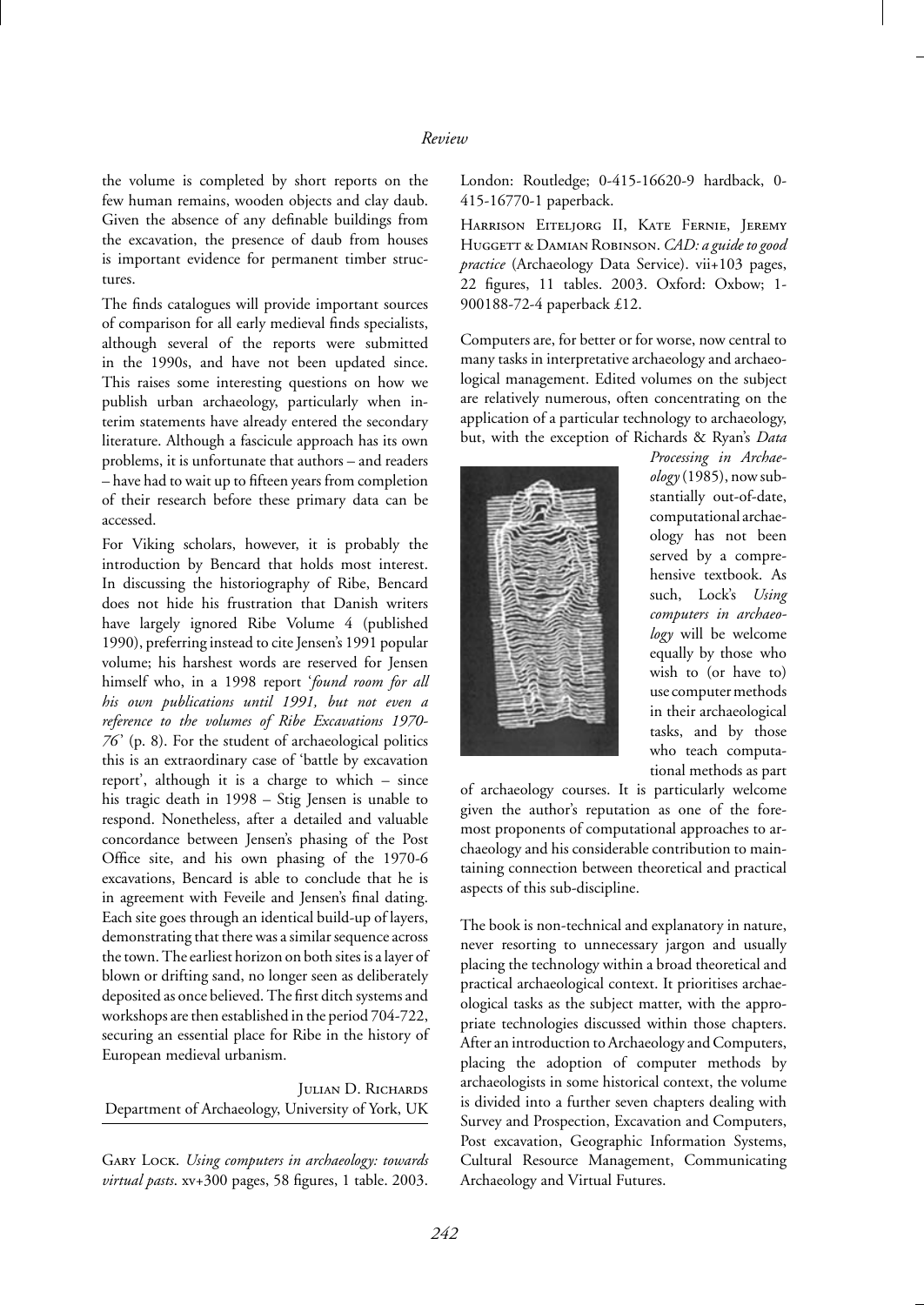the volume is completed by short reports on the few human remains, wooden objects and clay daub. Given the absence of any definable buildings from the excavation, the presence of daub from houses is important evidence for permanent timber structures.

The finds catalogues will provide important sources of comparison for all early medieval finds specialists, although several of the reports were submitted in the 1990s, and have not been updated since. This raises some interesting questions on how we publish urban archaeology, particularly when interim statements have already entered the secondary literature. Although a fascicule approach has its own problems, it is unfortunate that authors – and readers – have had to wait up to fifteen years from completion of their research before these primary data can be accessed.

For Viking scholars, however, it is probably the introduction by Bencard that holds most interest. In discussing the historiography of Ribe, Bencard does not hide his frustration that Danish writers have largely ignored Ribe Volume 4 (published 1990), preferring instead to cite Jensen's 1991 popular volume; his harshest words are reserved for Jensen himself who, in a 1998 report '*found room for all his own publications until 1991, but not even a reference to the volumes of Ribe Excavations 1970- 76* ' (p. 8). For the student of archaeological politics this is an extraordinary case of 'battle by excavation report', although it is a charge to which – since his tragic death in 1998 – Stig Jensen is unable to respond. Nonetheless, after a detailed and valuable concordance between Jensen's phasing of the Post Office site, and his own phasing of the 1970-6 excavations, Bencard is able to conclude that he is in agreement with Feveile and Jensen's final dating. Each site goes through an identical build-up of layers, demonstrating that there was a similar sequence across the town. The earliest horizon on both sites is a layer of blown or drifting sand, no longer seen as deliberately deposited as once believed. The first ditch systems and workshops are then established in the period 704-722, securing an essential place for Ribe in the history of European medieval urbanism.

Julian D. Richards Department of Archaeology, University of York, UK

Gary Lock. *Using computers in archaeology: towards virtual pasts*. xv+300 pages, 58 figures, 1 table. 2003. London: Routledge; 0-415-16620-9 hardback, 0- 415-16770-1 paperback.

Harrison Eiteljorg II, Kate Fernie, Jeremy Huggett & Damian Robinson. *CAD: a guide to good practice* (Archaeology Data Service). vii+103 pages, 22 figures, 11 tables. 2003. Oxford: Oxbow; 1- 900188-72-4 paperback £12.

Computers are, for better or for worse, now central to many tasks in interpretative archaeology and archaeological management. Edited volumes on the subject are relatively numerous, often concentrating on the application of a particular technology to archaeology, but, with the exception of Richards & Ryan's *Data*



*Processing in Archaeology*(1985), now substantially out-of-date, computational archaeology has not been served by a comprehensive textbook. As such, Lock's *Using computers in archaeology* will be welcome equally by those who wish to (or have to) use computer methods in their archaeological tasks, and by those who teach computational methods as part

of archaeology courses. It is particularly welcome given the author's reputation as one of the foremost proponents of computational approaches to archaeology and his considerable contribution to maintaining connection between theoretical and practical aspects of this sub-discipline.

The book is non-technical and explanatory in nature, never resorting to unnecessary jargon and usually placing the technology within a broad theoretical and practical archaeological context. It prioritises archaeological tasks as the subject matter, with the appropriate technologies discussed within those chapters. After an introduction to Archaeology and Computers, placing the adoption of computer methods by archaeologists in some historical context, the volume is divided into a further seven chapters dealing with Survey and Prospection, Excavation and Computers, Post excavation, Geographic Information Systems, Cultural Resource Management, Communicating Archaeology and Virtual Futures.